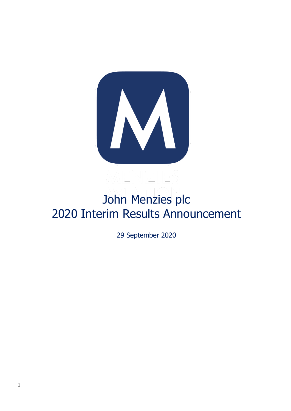

# John Menzies plc 2020 Interim Results Announcement

29 September 2020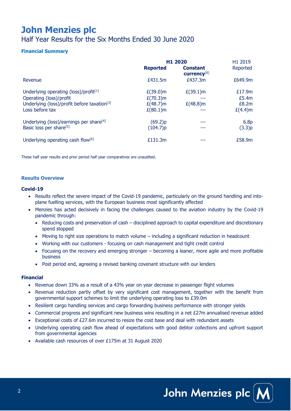## **John Menzies plc**

Half Year Results for the Six Months Ended 30 June 2020

#### **Financial Summary**

|                                                         |                 | H1 2020                        | H <sub>1</sub> 2019 |
|---------------------------------------------------------|-----------------|--------------------------------|---------------------|
|                                                         | <b>Reported</b> | <b>Constant</b><br>currency[6] | Reported            |
| Revenue                                                 | £431.5m         | £437.3m                        | £649.9m             |
| Underlying operating (loss)/profit <sup>[1]</sup>       | $E(39.0)$ m     | $E(39.1)$ m                    | £17.9m              |
| Operating (loss)/profit                                 | $E(70.3)$ m     | ---                            | £5.4m               |
| Underlying (loss)/profit before taxation <sup>[3]</sup> | $£(48.7)$ m     | $E(48.8)$ m                    | £8.2m               |
| Loss before tax                                         | $E(80.1)$ m     | ---                            | $E(4.4)$ m          |
| Underlying (loss)/earnings per share <sup>[4]</sup>     | (69.2)p         | ---                            | 6.8 <sub>p</sub>    |
| Basic loss per share <sup>[5]</sup>                     | (104.7)p        | ---                            | (3.3)p              |
| Underlying operating cash flow <sup>[6]</sup>           | £131.3m         |                                | £58.9m              |

These half year results and prior period half year comparatives are unaudited**.**

#### **Results Overview**

#### **Covid-19**

- Results reflect the severe impact of the Covid-19 pandemic, particularly on the ground handling and intoplane fuelling services, with the European business most significantly affected
- Menzies has acted decisively in facing the challenges caused to the aviation industry by the Covid-19 pandemic through:
	- Reducing costs and preservation of cash disciplined approach to capital expenditure and discretionary spend stopped
	- Moving to right size operations to match volume including a significant reduction in headcount
	- Working with our customers focusing on cash management and tight credit control
	- Focusing on the recovery and emerging stronger becoming a leaner, more agile and more profitable business
	- Post period end, agreeing a revised banking covenant structure with our lenders

#### **Financial**

- Revenue down 33% as a result of a 43% year on year decrease in passenger flight volumes
- Revenue reduction partly offset by very significant cost management, together with the benefit from governmental support schemes to limit the underlying operating loss to £39.0m
- Resilient cargo handling services and cargo forwarding business performance with stronger vields
- Commercial progress and significant new business wins resulting in a net £27m annualised revenue added
- Exceptional costs of £27.6m incurred to resize the cost base and deal with redundant assets
- Underlying operating cash flow ahead of expectations with good debtor collections and upfront support from governmental agencies
- Available cash resources of over £175m at 31 August 2020

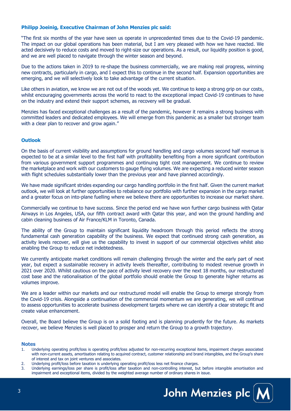#### **Philipp Joeinig, Executive Chairman of John Menzies plc said:**

"The first six months of the year have seen us operate in unprecedented times due to the Covid-19 pandemic. The impact on our global operations has been material, but I am very pleased with how we have reacted. We acted decisively to reduce costs and moved to right-size our operations. As a result, our liquidity position is good, and we are well placed to navigate through the winter season and beyond.

Due to the actions taken in 2019 to re-shape the business commercially, we are making real progress, winning new contracts, particularly in cargo, and I expect this to continue in the second half. Expansion opportunities are emerging, and we will selectively look to take advantage of the current situation.

Like others in aviation, we know we are not out of the woods vet. We continue to keep a strong grip on our costs, whilst encouraging governments across the world to react to the exceptional impact Covid-19 continues to have on the industry and extend their support schemes, as recovery will be gradual.

Menzies has faced exceptional challenges as a result of the pandemic, however it remains a strong business with committed leaders and dedicated employees. We will emerge from this pandemic as a smaller but stronger team with a clear plan to recover and grow again."

#### **Outlook**

On the basis of current visibility and assumptions for ground handling and cargo volumes second half revenue is expected to be at a similar level to the first half with profitability benefiting from a more significant contribution from various government support programmes and continuing tight cost management. We continue to review the marketplace and work with our customers to gauge flying volumes. We are expecting a reduced winter season with flight schedules substantially lower than the previous year and have planned accordingly.

We have made significant strides expanding our cargo handling portfolio in the first half. Given the current market outlook, we will look at further opportunities to rebalance our portfolio with further expansion in the cargo market and a greater focus on into-plane fuelling where we believe there are opportunities to increase our market share.

Commercially we continue to have success. Since the period end we have won further cargo business with Qatar Airways in Los Angeles, USA, our fifth contract award with Qatar this year, and won the ground handling and cabin cleaning business of Air France/KLM in Toronto, Canada.

The ability of the Group to maintain significant liquidity headroom through this period reflects the strong fundamental cash generation capability of the business. We expect that continued strong cash generation, as activity levels recover, will give us the capability to invest in support of our commercial objectives whilst also enabling the Group to reduce net indebtedness.

We currently anticipate market conditions will remain challenging through the winter and the early part of next year, but expect a sustainable recovery in activity levels thereafter, contributing to modest revenue growth in 2021 over 2020. Whilst cautious on the pace of activity level recovery over the next 18 months, our restructured cost base and the rationalisation of the global portfolio should enable the Group to generate higher returns as volumes improve.

We are a leader within our markets and our restructured model will enable the Group to emerge strongly from the Covid-19 crisis. Alongside a continuation of the commercial momentum we are generating, we will continue to assess opportunities to accelerate business development targets where we can identify a clear strategic fit and create value enhancement.

Overall, the Board believe the Group is on a solid footing and is planning prudently for the future. As markets recover, we believe Menzies is well placed to prosper and return the Group to a growth trajectory.

#### **Notes**

- 1. Underlying operating profit/loss is operating profit/loss adjusted for non-recurring exceptional items, impairment charges associated with non-current assets, amortisation relating to acquired contract, customer relationship and brand intangibles, and the Group's share of interest and tax on joint ventures and associates.
- 2. Underlying profit/loss before taxation is underlying operating profit/loss less net finance charges.
- 3. Underlying earnings/loss per share is profit/loss after taxation and non-controlling interest, but before intangible amortisation and impairment and exceptional items, divided by the weighted average number of ordinary shares in issue.

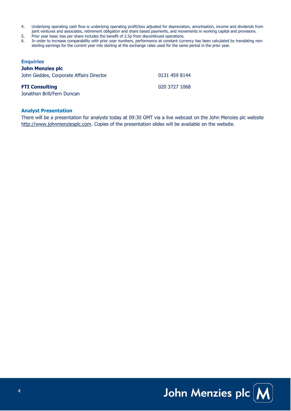- 4. Underlying operating cash flow is underlying operating profit/loss adjusted for depreciation, amortisation, income and dividends from joint ventures and associates, retirement obligation and share based payments, and movements in working capital and provisions.
- 5. Prior year basic loss per share includes the benefit of 2.5p from discontinued operations.
- 6. In order to increase comparability with prior year numbers, performance at constant currency has been calculated by translating nonsterling earnings for the current year into sterling at the exchange rates used for the same period in the prior year.

#### **Enquiries**

#### **John Menzies plc**

| John Geddes, Corporate Affairs Director | 0131 459 8144 |
|-----------------------------------------|---------------|
| <b>FTI Consulting</b>                   | 020 3727 1068 |
| Jonathon Brill/Fern Duncan              |               |

#### **Analyst Presentation**

There will be a presentation for analysts today at 09:30 GMT via a live webcast on the John Menzies plc website [http://www.johnmenziesplc.com.](http://www.johnmenziesplc.com/) Copies of the presentation slides will be available on the website.

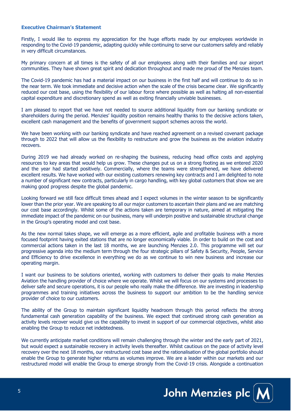#### **Executive Chairman's Statement**

Firstly, I would like to express my appreciation for the huge efforts made by our employees worldwide in responding to the Covid-19 pandemic, adapting quickly while continuing to serve our customers safely and reliably in very difficult circumstances.

My primary concern at all times is the safety of all our employees along with their families and our airport communities. They have shown great spirit and dedication throughout and made me proud of the Menzies team.

The Covid-19 pandemic has had a material impact on our business in the first half and will continue to do so in the near term. We took immediate and decisive action when the scale of the crisis became clear. We significantly reduced our cost base, using the flexibility of our labour force where possible as well as halting all non-essential capital expenditure and discretionary spend as well as exiting financially unviable businesses.

I am pleased to report that we have not needed to source additional liquidity from our banking syndicate or shareholders during the period. Menzies' liquidity position remains healthy thanks to the decisive actions taken, excellent cash management and the benefits of government support schemes across the world.

We have been working with our banking syndicate and have reached agreement on a revised covenant package through to 2022 that will allow us the flexibility to restructure and grow the business as the aviation industry recovers.

During 2019 we had already worked on re-shaping the business, reducing head office costs and applying resources to key areas that would help us grow. These changes put us on a strong footing as we entered 2020 and the year had started positively. Commercially, where the teams were strengthened, we have delivered excellent results. We have worked with our existing customers renewing key contracts and I am delighted to note a number of significant new contracts, particularly in cargo handling, with key global customers that show we are making good progress despite the global pandemic.

Looking forward we still face difficult times ahead and I expect volumes in the winter season to be significantly lower than the prior year. We are speaking to all our major customers to ascertain their plans and we are matching our cost base accordingly. Whilst some of the actions taken are temporary in nature, aimed at mitigating the immediate impact of the pandemic on our business, many will underpin positive and sustainable structural change in the Group's operating model and cost base.

As the new normal takes shape, we will emerge as a more efficient, agile and profitable business with a more focused footprint having exited stations that are no longer economically viable. In order to build on the cost and commercial actions taken in the last 18 months, we are launching Menzies 2.0. This programme will set our progressive agenda into the medium term through the four strategic pillars of Safety & Security, People, Service and Efficiency to drive excellence in everything we do as we continue to win new business and increase our operating margin.

I want our business to be solutions oriented, working with customers to deliver their goals to make Menzies Aviation the handling provider of choice where we operate. Whilst we will focus on our systems and processes to deliver safe and secure operations, it is our people who really make the difference. We are investing in leadership programmes and training initiatives across the business to support our ambition to be the handling service provider of choice to our customers.

The ability of the Group to maintain significant liquidity headroom through this period reflects the strong fundamental cash generation capability of the business. We expect that continued strong cash generation as activity levels recover would give us the capability to invest in support of our commercial objectives, whilst also enabling the Group to reduce net indebtedness.

We currently anticipate market conditions will remain challenging through the winter and the early part of 2021, but would expect a sustainable recovery in activity levels thereafter. Whilst cautious on the pace of activity level recovery over the next 18 months, our restructured cost base and the rationalisation of the global portfolio should enable the Group to generate higher returns as volumes improve. We are a leader within our markets and our restructured model will enable the Group to emerge strongly from the Covid-19 crisis. Alongside a continuation

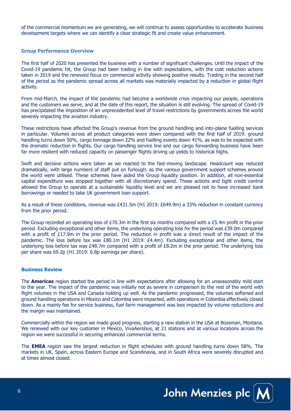of the commercial momentum we are generating, we will continue to assess opportunities to accelerate business development targets where we can identify a clear strategic fit and create value enhancement.

#### **Group Performance Overview**

The first half of 2020 has presented the business with a number of significant challenges. Until the impact of the Covid-19 pandemic hit, the Group had been trading in line with expectations, with the cost reduction actions taken in 2019 and the renewed focus on commercial activity showing positive results. Trading in the second half of the period as the pandemic spread across all markets was materially impacted by a reduction in global flight activity.

From mid-March, the impact of the pandemic had become a worldwide crisis impacting our people, operations and the customers we serve, and at the date of this report, the situation is still evolving. The spread of Covid-19 has precipitated the imposition of an unprecedented level of travel restrictions by governments across the world severely impacting the aviation industry.

These restrictions have affected the Group's revenue from the ground handling and into-plane fuelling services in particular. Volumes across all product categories were down compared with the first half of 2019: ground handling turns down 50%, cargo tonnage down 22% and fuelling events down 41%, as was to be expected with the dramatic reduction in flights. Our cargo handling service line and our cargo forwarding business have been far more resilient with reduced capacity on passenger flights driving up yields to historical highs.

Swift and decisive actions were taken as we reacted to the fast-moving landscape. Headcount was reduced dramatically, with large numbers of staff put on furlough, as the various government support schemes around the world were utilised. These schemes have aided the Group liquidity position. In addition, all non-essential capital expenditure was stopped together with all discretionary spend. These actions and tight credit control allowed the Group to operate at a sustainable liquidity level and we are pleased not to have increased bank borrowings or needed to take UK government loan support.

As a result of these conditions, revenue was £431.5m (H1 2019: £649.9m) a 33% reduction in constant currency from the prior period.

The Group recorded an operating loss of £70.3m in the first six months compared with a £5.4m profit in the prior period. Excluding exceptional and other items, the underlying operating loss for the period was £39.0m compared with a profit of £17.9m in the prior period. The reduction in profit was a direct result of the impact of the pandemic. The loss before tax was £80.1m (H1 2019: £4.4m). Excluding exceptional and other items, the underlying loss before tax was £48.7m compared with a profit of £8.2m in the prior period. The underlying loss per share was 69.2p (H1 2019: 6.8p earnings per share).

#### **Business Review**

The **Americas** region started the period in line with expectations after allowing for an unseasonably mild start to the year. The impact of the pandemic was initially not as severe in comparison to the rest of the world with flight volumes in the USA and Canada holding up well. As the pandemic progressed, the volumes softened and ground handling operations in Mexico and Colombia were impacted, with operations in Colombia effectively closed down. As a mainly fee for service business, fuel farm management was less impacted by volume reductions and the margin was maintained.

Commercially within the region we made good progress, starting a new station in the USA at Bozeman, Montana. We renewed with our key customer in Mexico, VivaAerobus, at 21 stations and at various locations across the region we were successful in securing enhanced commercial terms.

The **EMEA** region saw the largest reduction in flight schedules with ground handling turns down 58%. The markets in UK, Spain, across Eastern Europe and Scandinavia, and in South Africa were severely disrupted and at times almost closed.

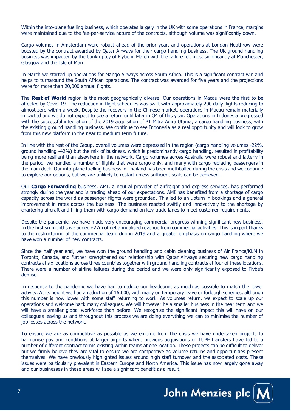Within the into-plane fuelling business, which operates largely in the UK with some operations in France, margins were maintained due to the fee-per-service nature of the contracts, although volume was significantly down.

Cargo volumes in Amsterdam were robust ahead of the prior year, and operations at London Heathrow were boosted by the contract awarded by Qatar Airways for their cargo handling business. The UK ground handling business was impacted by the bankruptcy of Flybe in March with the failure felt most significantly at Manchester, Glasgow and the Isle of Man.

In March we started up operations for Mango Airways across South Africa. This is a significant contract win and helps to turnaround the South African operations. The contract was awarded for five years and the projections were for more than 20,000 annual flights.

The **Rest of World** region is the most geographically diverse. Our operations in Macau were the first to be affected by Covid-19. The reduction in flight schedules was swift with approximately 200 daily flights reducing to almost zero within a week. Despite the recovery in the Chinese market, operations in Macau remain materially impacted and we do not expect to see a return until later in Q4 of this year. Operations in Indonesia progressed with the successful integration of the 2019 acquisition of PT Mitra Adira Utama, a cargo handling business, with the existing ground handling business. We continue to see Indonesia as a real opportunity and will look to grow from this new platform in the near to medium term future.

In line with the rest of the Group, overall volumes were depressed in the region (cargo handling volumes -22%, ground handling -42%) but the mix of business, which is predominantly cargo handling, resulted in profitability being more resilient than elsewhere in the network. Cargo volumes across Australia were robust and latterly in the period, we handled a number of flights that were cargo only, and many with cargo replacing passengers in the main deck. Our into-plane fuelling business in Thailand has been mothballed during the crisis and we continue to explore our options, but we are unlikely to restart unless sufficient scale can be achieved.

Our **Cargo Forwarding** business, AMI, a neutral provider of airfreight and express services, has performed strongly during the year and is trading ahead of our expectations. AMI has benefited from a shortage of cargo capacity across the world as passenger flights were grounded. This led to an upturn in bookings and a general improvement in rates across the business. The business reacted swiftly and innovatively to the shortage by chartering aircraft and filling them with cargo demand on key trade lanes to meet customer requirements.

Despite the pandemic, we have made very encouraging commercial progress winning significant new business. In the first six months we added £27m of net annualised revenue from commercial activities. This is in part thanks to the restructuring of the commercial team during 2019 and a greater emphasis on cargo handling where we have won a number of new contracts.

Since the half year end, we have won the ground handling and cabin cleaning business of Air France/KLM in Toronto, Canada, and further strengthened our relationship with Qatar Airways securing new cargo handling contracts at six locations across three countries together with ground handling contracts at four of these locations. There were a number of airline failures during the period and we were only significantly exposed to Flybe's demise.

In response to the pandemic we have had to reduce our headcount as much as possible to match the lower activity. At its height we had a reduction of 16,000, with many on temporary leave or furlough schemes, although this number is now lower with some staff returning to work. As volumes return, we expect to scale up our operations and welcome back many colleagues. We will however be a smaller business in the near term and we will have a smaller global workforce than before. We recognise the significant impact this will have on our colleagues leaving us and throughout this process we are doing everything we can to minimise the number of job losses across the network.

To ensure we are as competitive as possible as we emerge from the crisis we have undertaken projects to harmonise pay and conditions at larger airports where previous acquisitions or TUPE transfers have led to a number of different contract terms existing within teams at one location. These projects can be difficult to deliver but we firmly believe they are vital to ensure we are competitive as volume returns and opportunities present themselves. We have previously highlighted issues around high staff turnover and the associated costs. These issues were particularly prevalent in Eastern Europe and North America. This issue has now largely gone away and our businesses in these areas will see a significant benefit as a result.

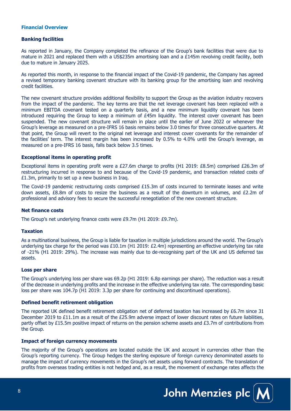#### **Financial Overview**

#### **Banking facilities**

As reported in January, the Company completed the refinance of the Group's bank facilities that were due to mature in 2021 and replaced them with a US\$235m amortising loan and a £145m revolving credit facility, both due to mature in January 2025.

As reported this month, in response to the financial impact of the Covid-19 pandemic, the Company has agreed a revised temporary banking covenant structure with its banking group for the amortising loan and revolving credit facilities.

The new covenant structure provides additional flexibility to support the Group as the aviation industry recovers from the impact of the pandemic. The key terms are that the net leverage covenant has been replaced with a minimum EBITDA covenant tested on a quarterly basis, and a new minimum liquidity covenant has been introduced requiring the Group to keep a minimum of  $E45m$  liquidity. The interest cover covenant has been suspended. The new covenant structure will remain in place until the earlier of June 2022 or whenever the Group's leverage as measured on a pre-IFRS 16 basis remains below 3.0 times for three consecutive quarters. At that point, the Group will revert to the original net leverage and interest cover covenants for the remainder of the facilities' term. The interest margin has been increased by 0.5% to 4.0% until the Group's leverage, as measured on a pre-IFRS 16 basis, falls back below 3.5 times.

#### **Exceptional items in operating profit**

Exceptional items in operating profit were a £27.6m charge to profits (H1 2019: £8.5m) comprised £26.3m of restructuring incurred in response to and because of the Covid-19 pandemic, and transaction related costs of £1.3m, primarily to set up a new business in Iraq.

The Covid-19 pandemic restructuring costs comprised £15.3m of costs incurred to terminate leases and write down assets, £8.8m of costs to resize the business as a result of the downturn in volumes, and £2.2m of professional and advisory fees to secure the successful renegotiation of the new covenant structure.

#### **Net finance costs**

The Group's net underlying finance costs were £9.7m (H1 2019: £9.7m).

#### **Taxation**

As a multinational business, the Group is liable for taxation in multiple jurisdictions around the world. The Group's underlying tax charge for the period was £10.1m (H1 2019: £2.4m) representing an effective underlying tax rate of -21% (H1 2019: 29%). The increase was mainly due to de-recognising part of the UK and US deferred tax assets.

#### **Loss per share**

The Group's underlying loss per share was 69.2p (H1 2019: 6.8p earnings per share). The reduction was a result of the decrease in underlying profits and the increase in the effective underlying tax rate. The corresponding basic loss per share was 104.7p (H1 2019: 3.3p per share for continuing and discontinued operations).

#### **Defined benefit retirement obligation**

The reported UK defined benefit retirement obligation net of deferred taxation has increased by £6.7m since 31 December 2019 to £11.1m as a result of the £25.9m adverse impact of lower discount rates on future liabilities, partly offset by £15.5m positive impact of returns on the pension scheme assets and £3.7m of contributions from the Group.

#### **Impact of foreign currency movements**

The majority of the Group's operations are located outside the UK and account in currencies other than the Group's reporting currency. The Group hedges the sterling exposure of foreign currency denominated assets to manage the impact of currency movements in the Group's net assets using forward contracts. The translation of profits from overseas trading entities is not hedged and, as a result, the movement of exchange rates affects the

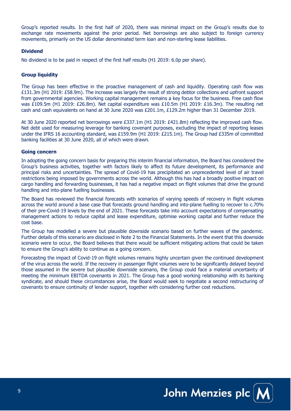Group's reported results. In the first half of 2020, there was minimal impact on the Group's results due to exchange rate movements against the prior period. Net borrowings are also subject to foreign currency movements, primarily on the US dollar denominated term loan and non-sterling lease liabilities.

#### **Dividend**

No dividend is to be paid in respect of the first half results (H1 2019: 6.0p per share).

#### **Group liquidity**

The Group has been effective in the proactive management of cash and liquidity. Operating cash flow was £131.3m (H1 2019: £58.9m). The increase was largely the result of strong debtor collections and upfront support from governmental agencies. Working capital management remains a key focus for the business. Free cash flow was £109.5m (H1 2019: £26.8m). Net capital expenditure was £10.5m (H1 2019: £16.3m). The resulting net cash and cash equivalents on hand at 30 June 2020 was £201.1m, £129.2m higher than 31 December 2019.

At 30 June 2020 reported net borrowings were £337.1m (H1 2019: £421.8m) reflecting the improved cash flow. Net debt used for measuring leverage for banking covenant purposes, excluding the impact of reporting leases under the IFRS 16 accounting standard, was £159.9m (H1 2019: £215.1m). The Group had £335m of committed banking facilities at 30 June 2020, all of which were drawn.

#### **Going concern**

In adopting the going concern basis for preparing this interim financial information, the Board has considered the Group's business activities, together with factors likely to affect its future development, its performance and principal risks and uncertainties. The spread of Covid-19 has precipitated an unprecedented level of air travel restrictions being imposed by governments across the world. Although this has had a broadly positive impact on cargo handling and forwarding businesses, it has had a negative impact on flight volumes that drive the ground handling and into-plane fuelling businesses.

The Board has reviewed the financial forecasts with scenarios of varying speeds of recovery in flight volumes across the world around a base case that forecasts ground handling and into-plane fuelling to recover to c.70% of their pre-Covid-19 levels by the end of 2021. These forecasts take into account expectations of compensating management actions to reduce capital and lease expenditure, optimise working capital and further reduce the cost base.

The Group has modelled a severe but plausible downside scenario based on further waves of the pandemic. Further details of this scenario are disclosed in Note 2 to the Financial Statements. In the event that this downside scenario were to occur, the Board believes that there would be sufficient mitigating actions that could be taken to ensure the Group's ability to continue as a going concern.

Forecasting the impact of Covid-19 on flight volumes remains highly uncertain given the continued development of the virus across the world. If the recovery in passenger flight volumes were to be significantly delayed beyond those assumed in the severe but plausible downside scenario, the Group could face a material uncertainty of meeting the minimum EBITDA covenants in 2021. The Group has a good working relationship with its banking syndicate, and should these circumstances arise, the Board would seek to negotiate a second restructuring of covenants to ensure continuity of lender support, together with considering further cost reductions.

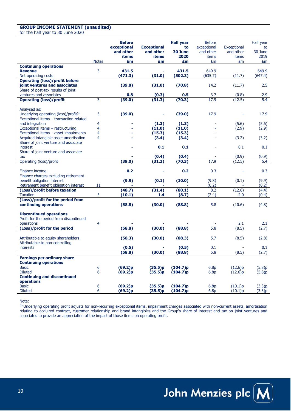#### **GROUP INCOME STATEMENT (unaudited)**

for the half year to 30 June 2020

|                                                                                                              | <b>Notes</b>     | <b>Before</b><br>exceptional<br>and other<br>items<br>£m | <b>Exceptional</b><br>and other<br>items<br>£m | <b>Half year</b><br>to<br>30 June<br>2020<br>£m | <b>Before</b><br>exceptional<br>and other<br>items<br>£m | Exceptional<br>and other<br>items<br>£m | Half year<br>to<br>30 June<br>2019<br>£m |
|--------------------------------------------------------------------------------------------------------------|------------------|----------------------------------------------------------|------------------------------------------------|-------------------------------------------------|----------------------------------------------------------|-----------------------------------------|------------------------------------------|
| <b>Continuing operations</b>                                                                                 |                  |                                                          |                                                |                                                 |                                                          |                                         |                                          |
| <b>Revenue</b>                                                                                               | 3                | 431.5                                                    |                                                | 431.5                                           | 649.9                                                    |                                         | 649.9                                    |
| Net operating costs                                                                                          |                  | (471.3)                                                  | (31.0)                                         | (502.3)                                         | (635.7)                                                  | (11.7)                                  | (647.4)                                  |
| <b>Operating (loss)/profit before</b><br>joint ventures and associates<br>Share of post-tax results of joint |                  | (39.8)                                                   | (31.0)                                         | (70.8)                                          | 14.2                                                     | (11.7)                                  | 2.5                                      |
| ventures and associates                                                                                      |                  | 0.8                                                      | (0.3)                                          | 0.5                                             | 3.7                                                      | (0.8)                                   | 2.9                                      |
| <b>Operating (loss)/profit</b>                                                                               | 3                | (39.0)                                                   | (31.3)                                         | (70.3)                                          | 17.9                                                     | (12.5)                                  | 5.4                                      |
|                                                                                                              |                  |                                                          |                                                |                                                 |                                                          |                                         |                                          |
| Analysed as:<br>Underlying operating (loss)/profit <sup>(i)</sup><br>Exceptional items - transaction related | 3                | (39.0)                                                   |                                                | (39.0)                                          | 17.9                                                     |                                         | 17.9                                     |
| and integration                                                                                              | 4                |                                                          | (1.3)                                          | (1.3)                                           |                                                          | (5.6)                                   | (5.6)                                    |
| Exceptional items - restructuring                                                                            | 4                |                                                          | (11.0)                                         | (11.0)                                          |                                                          | (2.9)                                   | (2.9)                                    |
| Exceptional items - asset impairments                                                                        | 4                |                                                          | (15.3)                                         | (15.3)                                          |                                                          |                                         |                                          |
| Acquired intangible asset amortisation                                                                       | 4                |                                                          | (3.4)                                          | (3.4)                                           |                                                          | (3.2)                                   | (3.2)                                    |
| Share of joint venture and associate<br>interest<br>Share of joint venture and associate                     |                  |                                                          | 0.1                                            | 0.1                                             |                                                          | 0.1                                     | 0.1                                      |
| tax                                                                                                          |                  |                                                          | (0.4)                                          | (0.4)                                           |                                                          | (0.9)                                   | (0.9)                                    |
| Operating (loss)/profit                                                                                      |                  | (39.0)                                                   | (31.3)                                         | (70.3)                                          | 17.9                                                     | (12.5)                                  | 5.4                                      |
| Finance income<br>Finance charges excluding retirement                                                       |                  | 0.2                                                      |                                                | 0.2                                             | 0.3                                                      |                                         | 0.3                                      |
| benefit obligation interest                                                                                  |                  | (9.9)                                                    | (0.1)                                          | (10.0)                                          | (9.8)                                                    | (0.1)                                   | (9.9)                                    |
| Retirement benefit obligation interest                                                                       | 11               |                                                          |                                                |                                                 | (0.2)                                                    |                                         | (0.2)                                    |
| (Loss)/profit before taxation                                                                                |                  | (48.7)                                                   | (31.4)                                         | (80.1)                                          | 8.2                                                      | (12.6)                                  | (4.4)                                    |
| <b>Taxation</b>                                                                                              | 5                | (10.1)                                                   | 1.4                                            | (8.7)                                           | (2.4)                                                    | 2.0                                     | (0.4)                                    |
| (Loss)/profit for the period from<br>continuing operations                                                   |                  | (58.8)                                                   | (30.0)                                         | (88.8)                                          | 5.8                                                      | (10.6)                                  | (4.8)                                    |
| <b>Discontinued operations</b><br>Profit for the period from discontinued<br>operations                      | 4                |                                                          |                                                |                                                 |                                                          | 2.1                                     | 2.1                                      |
| (Loss)/profit for the period                                                                                 |                  | (58.8)                                                   | (30.0)                                         | (88.8)                                          | 5.8                                                      | (8.5)                                   | (2.7)                                    |
|                                                                                                              |                  |                                                          |                                                |                                                 |                                                          |                                         |                                          |
| Attributable to equity shareholders<br>Attributable to non-controlling                                       |                  | (58.3)                                                   | (30.0)                                         | (88.3)                                          | 5.7                                                      | (8.5)                                   | (2.8)                                    |
| interests                                                                                                    |                  | (0.5)                                                    |                                                | (0.5)                                           | 0.1                                                      |                                         | 0.1                                      |
|                                                                                                              |                  | (58.8)                                                   | (30.0)                                         | (88.8)                                          | 5.8                                                      | (8.5)                                   | (2.7)                                    |
| <b>Earnings per ordinary share</b><br><b>Continuing operations</b>                                           |                  |                                                          |                                                |                                                 |                                                          |                                         |                                          |
| <b>Basic</b>                                                                                                 | 6                | (69.2)p                                                  | (35.5)p                                        | (104.7)p                                        | 6.8p                                                     | (12.6)p                                 | (5.8)p                                   |
| <b>Diluted</b>                                                                                               | 6                | (69.2)p                                                  | (35.5)p                                        | (104.7)p                                        | 6.8p                                                     | (12.6)p                                 | (5.8)p                                   |
| <b>Continuing and discontinued</b><br>operations                                                             |                  |                                                          |                                                |                                                 |                                                          |                                         |                                          |
| <b>Basic</b>                                                                                                 | $\boldsymbol{6}$ | (69.2)p                                                  | (35.5)p                                        | (104.7)p                                        | 6.8p                                                     | (10.1)p                                 | (3.3)p                                   |
| <b>Diluted</b>                                                                                               | 6                | (69.2)p                                                  | (35.5)p                                        | (104.7)p                                        | 6.8p                                                     | (10.1)p                                 | (3.3)p                                   |

Note:

(i) Underlying operating profit adjusts for non-recurring exceptional items, impairment charges associated with non-current assets, amortisation relating to acquired contract, customer relationship and brand intangibles and the Group's share of interest and tax on joint ventures and associates to provide an appreciation of the impact of those items on operating profit.

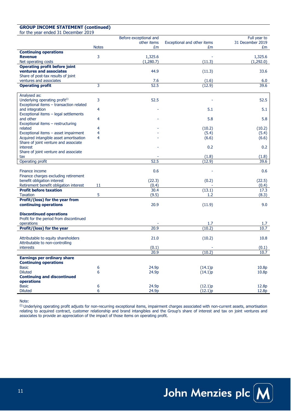#### **GROUP INCOME STATEMENT (continued)**

for the year ended 31 December 2019

|                                                                                       |                                       | Before exceptional and |                             | Full year to     |
|---------------------------------------------------------------------------------------|---------------------------------------|------------------------|-----------------------------|------------------|
|                                                                                       |                                       | other items            | Exceptional and other items | 31 December 2019 |
|                                                                                       | <b>Notes</b>                          | £m                     | £m                          | £m               |
| <b>Continuing operations</b>                                                          |                                       |                        |                             |                  |
| <b>Revenue</b>                                                                        | 3                                     | 1,325.6                |                             | 1,325.6          |
| Net operating costs                                                                   |                                       | (1,280.7)              | (11.3)                      | (1,292.0)        |
| <b>Operating profit before joint</b>                                                  |                                       |                        |                             |                  |
| ventures and associates                                                               |                                       | 44.9                   | (11.3)                      | 33.6             |
| Share of post-tax results of joint                                                    |                                       |                        |                             |                  |
| ventures and associates                                                               |                                       | 7.6                    | (1.6)                       | 6.0              |
| <b>Operating profit</b>                                                               | 3                                     | 52.5                   | (12.9)                      | 39.6             |
|                                                                                       |                                       |                        |                             |                  |
| Analysed as:                                                                          |                                       |                        |                             |                  |
| Underlying operating profit <sup>(i)</sup><br>Exceptional items - transaction related | 3                                     | 52.5                   |                             | 52.5             |
| and integration                                                                       | 4                                     |                        | 5.1                         | 5.1              |
| Exceptional items - legal settlements                                                 |                                       |                        |                             |                  |
| and other                                                                             | 4                                     |                        | 5.8                         | 5.8              |
| Exceptional items - restructuring                                                     |                                       |                        |                             |                  |
| related                                                                               | 4                                     |                        | (10.2)                      | (10.2)           |
| Exceptional items - asset impairment                                                  | 4                                     |                        | (5.4)                       | (5.4)            |
| Acquired intangible asset amortisation                                                | 4                                     |                        | (6.6)                       | (6.6)            |
| Share of joint venture and associate                                                  |                                       |                        |                             |                  |
| interest                                                                              |                                       |                        | 0.2                         | 0.2              |
| Share of joint venture and associate                                                  |                                       |                        |                             |                  |
| tax                                                                                   |                                       |                        | (1.8)                       | (1.8)            |
| Operating profit                                                                      |                                       | 52.5                   | (12.9)                      | 39.6             |
|                                                                                       |                                       |                        |                             |                  |
| Finance income                                                                        |                                       | 0.6                    |                             | 0.6              |
| Finance charges excluding retirement                                                  |                                       |                        |                             |                  |
| benefit obligation interest                                                           |                                       | (22.3)                 | (0.2)                       | (22.5)           |
| Retirement benefit obligation interest                                                | 11                                    | (0.4)                  |                             | (0.4)            |
| <b>Profit before taxation</b>                                                         |                                       | 30.4                   | (13.1)<br>1.2               | 17.3             |
| <b>Taxation</b>                                                                       | 5                                     | (9.5)                  |                             | (8.3)            |
| Profit/(loss) for the year from<br>continuing operations                              |                                       | 20.9                   | (11.9)                      | 9.0              |
|                                                                                       |                                       |                        |                             |                  |
| <b>Discontinued operations</b>                                                        |                                       |                        |                             |                  |
| Profit for the period from discontinued                                               |                                       |                        |                             |                  |
| operations                                                                            |                                       |                        | 1.7                         | 1.7              |
| Profit/(loss) for the year                                                            |                                       | 20.9                   | (10.2)                      | 10.7             |
|                                                                                       |                                       |                        |                             |                  |
| Attributable to equity shareholders                                                   |                                       | 21.0                   | (10.2)                      | 10.8             |
| Attributable to non-controlling                                                       |                                       |                        |                             |                  |
| interests                                                                             |                                       | (0.1)                  |                             | (0.1)            |
|                                                                                       |                                       | 20.9                   | (10.2)                      | 10.7             |
| <b>Earnings per ordinary share</b>                                                    |                                       |                        |                             |                  |
| <b>Continuing operations</b>                                                          |                                       |                        |                             |                  |
| <b>Basic</b>                                                                          | $\begin{array}{c} 6 \\ 6 \end{array}$ | 24.9p                  | (14.1)p                     | 10.8p            |
| <b>Diluted</b>                                                                        |                                       | 24.9p                  | (14.1)p                     | 10.8p            |
| <b>Continuing and discontinued</b>                                                    |                                       |                        |                             |                  |
| operations                                                                            |                                       |                        |                             |                  |
| <b>Basic</b>                                                                          | 6                                     | 24.9p                  | (12.1)p                     | 12.8p            |
| <b>Diluted</b>                                                                        | 6                                     | 24.9p                  | (12.1)p                     | 12.8p            |

Note:

(i) Underlying operating profit adjusts for non-recurring exceptional items, impairment charges associated with non-current assets, amortisation relating to acquired contract, customer relationship and brand intangibles and the Group's share of interest and tax on joint ventures and associates to provide an appreciation of the impact of those items on operating profit.

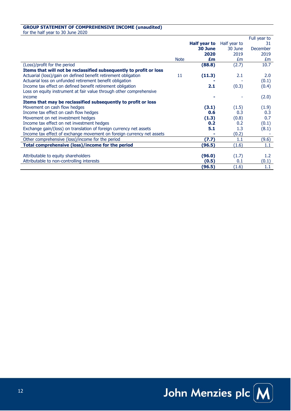#### **GROUP STATEMENT OF COMPREHENSIVE INCOME (unaudited)**

for the half year to 30 June 2020

|                                                                       |             |              |              | Full year to |
|-----------------------------------------------------------------------|-------------|--------------|--------------|--------------|
|                                                                       |             | Half year to | Half year to | 31           |
|                                                                       |             | 30 June      | 30 June      | December     |
|                                                                       |             | 2020         | 2019         | 2019         |
|                                                                       | <b>Note</b> | £m           | £m           | £m           |
| (Loss)/profit for the period                                          |             | (88.8)       | (2.7)        | 10.7         |
| Items that will not be reclassified subsequently to profit or loss    |             |              |              |              |
| Actuarial (loss)/gain on defined benefit retirement obligation        | 11          | (11.3)       | 2.1          | 2.0          |
| Actuarial loss on unfunded retirement benefit obligation              |             |              |              | (0.1)        |
| Income tax effect on defined benefit retirement obligation            |             | 2.1          | (0.3)        | (0.4)        |
| Loss on equity instrument at fair value through other comprehensive   |             |              |              |              |
| income                                                                |             |              |              | (2.0)        |
| Items that may be reclassified subsequently to profit or loss         |             |              |              |              |
| Movement on cash flow hedges                                          |             | (3.1)        | (1.5)        | (1.9)        |
| Income tax effect on cash flow hedges                                 |             | 0.6          | 0.3          | 0.3          |
| Movement on net investment hedges                                     |             | (1.3)        | (0.8)        | 0.7          |
| Income tax effect on net investment hedges                            |             | 0.2          | 0.2          | (0.1)        |
| Exchange gain/(loss) on translation of foreign currency net assets    |             | 5.1          | 1.3          | (8.1)        |
| Income tax effect of exchange movement on foreign currency net assets |             |              | (0.2)        |              |
| Other comprehensive (loss)/income for the period                      |             | (7.7)        | $1.1\,$      | (9.6)        |
| Total comprehensive (loss)/income for the period                      |             | (96.5)       | (1.6)        | 1.1          |
|                                                                       |             |              |              |              |
| Attributable to equity shareholders                                   |             | (96.0)       | (1.7)        | 1.2          |
| Attributable to non-controlling interests                             |             | (0.5)        | 0.1          | (0.1)        |
|                                                                       |             | (96.5)       | (1.6)        | 1.1          |

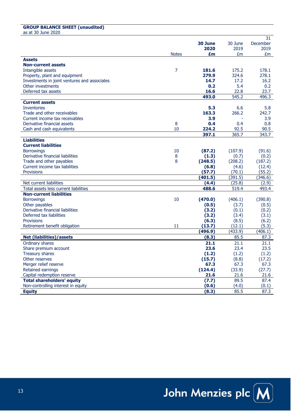### **GROUP BALANCE SHEET (unaudited)**

as at 30 June 2020

|                                              |              |         |         | 31       |
|----------------------------------------------|--------------|---------|---------|----------|
|                                              |              | 30 June | 30 June | December |
|                                              |              | 2020    | 2019    | 2019     |
|                                              | <b>Notes</b> | £m      | £m      | £m       |
| <b>Assets</b>                                |              |         |         |          |
| <b>Non-current assets</b>                    |              |         |         |          |
| Intangible assets                            | 7            | 181.6   | 175.2   | 178.1    |
| Property, plant and equipment                |              | 279.9   | 324.6   | 278.1    |
| Investments in joint ventures and associates |              | 14.7    | 17.2    | 16.2     |
| Other investments                            |              | 0.2     | 5.4     | 0.2      |
| Deferred tax assets                          |              | 16.6    | 22.8    | 23.7     |
|                                              |              | 493.0   | 545.2   | 496.3    |
| <b>Current assets</b>                        |              |         |         |          |
| <b>Inventories</b>                           |              | 5.3     | 6.6     | 5.8      |
| Trade and other receivables                  |              | 163.3   | 266.2   | 242.7    |
| Current income tax receivables               |              | 3.9     |         | 3.9      |
| Derivative financial assets                  | 8            | 0.4     | 0.4     | 0.8      |
| Cash and cash equivalents                    | 10           | 224.2   | 92.5    | 90.5     |
|                                              |              | 397.1   | 365.7   | 343.7    |
| <b>Liabilities</b>                           |              |         |         |          |
| <b>Current liabilities</b>                   |              |         |         |          |
| <b>Borrowings</b>                            | 10           | (87.2)  | (107.9) | (91.6)   |
| Derivative financial liabilities             | 8            | (1.3)   | (0.7)   | (0.2)    |
| Trade and other payables                     | 8            | (248.5) | (208.2) | (187.2)  |
| Current income tax liabilities               |              | (6.8)   | (4.6)   | (12.4)   |
| <b>Provisions</b>                            |              | (57.7)  | (70.1)  | (55.2)   |
|                                              |              | (401.5) | (391.5) | (346.6)  |
| Net current liabilities                      |              | (4.4)   | (25.8)  | (2.9)    |
| Total assets less current liabilities        |              | 488.6   | 519.4   | 493.4    |
| <b>Non-current liabilities</b>               |              |         |         |          |
| <b>Borrowings</b>                            | 10           | (470.0) | (406.1) | (390.8)  |
| Other payables                               |              | (0.5)   | (3.7)   | (0.5)    |
| Derivative financial liabilities             |              | (3.2)   | (0.1)   | (0.2)    |
| Deferred tax liabilities                     |              | (3.2)   | (3.4)   | (3.1)    |
| <b>Provisions</b>                            |              | (6.3)   | (8.5)   | (6.2)    |
| Retirement benefit obligation                | 11           | (13.7)  | (12.1)  | (5.3)    |
|                                              |              | (496.9) | (433.9) | (406.1)  |
| <b>Net (liabilities)/assets</b>              |              | (8.3)   | 85.5    | 87.3     |
| Ordinary shares                              |              | 21.1    | 21.1    | 21.1     |
| Share premium account                        |              | 23.6    | 23.4    | 23.5     |
| Treasury shares                              |              | (1.2)   | (1.2)   | (1.2)    |
| Other reserves                               |              | (15.7)  | (8.8)   | (17.2)   |
| Merger relief reserve                        |              | 67.3    | 67.3    | 67.3     |
| <b>Retained earnings</b>                     |              | (124.4) | (33.9)  | (27.7)   |
| Capital redemption reserve                   |              | 21.6    | 21.6    | 21.6     |
| <b>Total shareholders' equity</b>            |              | (7.7)   | 89.5    | 87.4     |
| Non-controlling interest in equity           |              | (0.6)   | (4.0)   | (0.1)    |
| <b>Equity</b>                                |              | (8.3)   | 85.5    | 87.3     |

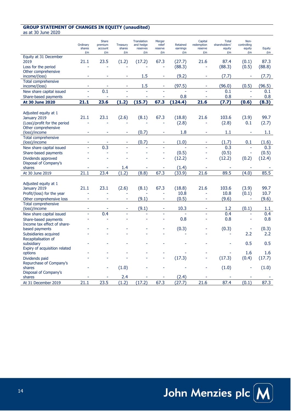## **GROUP STATEMENT OF CHANGES IN EQUITY (unaudited)**

as at 30 June 2020

|                                           | Ordinary<br>shares<br>£m | <b>Share</b><br>premium<br>account<br>£m | <b>Treasury</b><br>shares<br>£m | <b>Translation</b><br>and hedge<br>reserves<br>£m | Merger<br>relief<br>reserve<br>£m | Retained<br>earnings<br>£m | Capital<br>redemption<br>reserve<br>£m | <b>Total</b><br>shareholders'<br>equity<br>£m | Non-<br>controlling<br>equity<br>£m | Equity<br>£m |
|-------------------------------------------|--------------------------|------------------------------------------|---------------------------------|---------------------------------------------------|-----------------------------------|----------------------------|----------------------------------------|-----------------------------------------------|-------------------------------------|--------------|
| Equity at 31 December                     |                          |                                          |                                 |                                                   |                                   |                            |                                        |                                               |                                     |              |
| 2019                                      | 21.1                     | 23.5                                     | (1.2)                           | (17.2)                                            | 67.3                              | (27.7)                     | 21.6                                   | 87.4                                          | (0.1)                               | 87.3         |
| Loss for the period                       |                          |                                          |                                 |                                                   |                                   | (88.3)                     |                                        | (88.3)                                        | (0.5)                               | (88.8)       |
| Other comprehensive                       |                          |                                          |                                 |                                                   |                                   |                            |                                        |                                               |                                     |              |
| income/(loss)                             |                          |                                          |                                 | 1.5                                               | ÷                                 | (9.2)                      |                                        | (7.7)                                         |                                     | (7.7)        |
| <b>Total comprehensive</b>                |                          |                                          |                                 |                                                   |                                   |                            |                                        |                                               |                                     |              |
| income/(loss)                             | ä,                       |                                          |                                 | 1.5                                               |                                   | (97.5)                     |                                        | (96.0)                                        | (0.5)                               | (96.5)       |
| New share capital issued                  | ä,                       | 0.1                                      | L,                              |                                                   |                                   |                            |                                        | 0.1                                           |                                     | 0.1          |
| Share-based payments                      |                          |                                          |                                 |                                                   | ä,                                | 0.8                        |                                        | 0.8                                           |                                     | 0.8          |
| <b>At 30 June 2020</b>                    | 21.1                     | 23.6                                     | (1.2)                           | (15.7)                                            | 67.3                              | (124.4)                    | 21.6                                   | (7.7)                                         | (0.6)                               | (8.3)        |
|                                           |                          |                                          |                                 |                                                   |                                   |                            |                                        |                                               |                                     |              |
| Adjusted equity at 1                      |                          |                                          |                                 |                                                   |                                   |                            |                                        |                                               |                                     |              |
| January 2019                              | 21.1                     | 23.1                                     | (2.6)                           | (8.1)                                             | 67.3                              | (18.8)                     | 21.6                                   | 103.6                                         | (3.9)                               | 99.7         |
| (Loss)/profit for the period              | ä,                       |                                          |                                 |                                                   |                                   | (2.8)                      | L.                                     | (2.8)                                         | 0.1                                 | (2.7)        |
| Other comprehensive                       |                          |                                          |                                 |                                                   |                                   |                            |                                        |                                               |                                     |              |
| (loss)/income                             | ÷                        |                                          | ä,                              | (0.7)                                             | ÷                                 | 1.8                        | $\sim$                                 | 1.1                                           |                                     | 1.1          |
| Total comprehensive                       |                          |                                          |                                 |                                                   |                                   |                            |                                        |                                               |                                     |              |
| (loss)/income                             | ٠                        | ٠                                        | ٠                               | (0.7)                                             | ÷                                 | (1.0)                      | $\sim$                                 | (1.7)                                         | 0.1                                 | (1.6)        |
| New share capital issued                  |                          | 0.3                                      |                                 |                                                   |                                   |                            |                                        | 0.3                                           | L.                                  | 0.3          |
| Share-based payments                      |                          |                                          |                                 |                                                   |                                   | (0.5)                      |                                        | (0.5)                                         |                                     | (0.5)        |
| Dividends approved                        |                          |                                          |                                 |                                                   |                                   | (12.2)                     |                                        | (12.2)                                        | (0.2)                               | (12.4)       |
| Disposal of Company's                     |                          |                                          |                                 |                                                   |                                   |                            |                                        |                                               |                                     |              |
| shares                                    |                          |                                          | 1.4                             |                                                   |                                   | (1.4)                      |                                        |                                               |                                     |              |
| At 30 June 2019                           | 21.1                     | 23.4                                     | (1.2)                           | (8.8)                                             | 67.3                              | (33.9)                     | 21.6                                   | 89.5                                          | (4.0)                               | 85.5         |
|                                           |                          |                                          |                                 |                                                   |                                   |                            |                                        |                                               |                                     |              |
| Adjusted equity at 1                      |                          |                                          |                                 |                                                   |                                   |                            |                                        |                                               |                                     |              |
| January 2019                              | 21.1                     | 23.1                                     | (2.6)                           | (8.1)                                             | 67.3                              | (18.8)                     | 21.6                                   | 103.6                                         | (3.9)                               | 99.7         |
| Profit/(loss) for the year                | L,                       |                                          |                                 |                                                   |                                   | 10.8                       | L,                                     | 10.8                                          | (0.1)                               | 10.7         |
| Other comprehensive loss                  | ÷,                       | $\overline{\phantom{a}}$                 | $\overline{a}$                  | (9.1)                                             | $\overline{\phantom{a}}$          | (0.5)                      | ä,                                     | (9.6)                                         | ä,                                  | (9.6)        |
| Total comprehensive                       |                          |                                          |                                 |                                                   |                                   |                            |                                        |                                               |                                     |              |
| (loss)/income                             |                          |                                          |                                 | (9.1)                                             |                                   | 10.3                       |                                        | 1.2                                           | (0.1)                               | 1.1          |
| New share capital issued                  |                          | 0.4                                      |                                 |                                                   |                                   |                            |                                        | 0.4                                           |                                     | 0.4          |
| Share-based payments                      |                          |                                          |                                 |                                                   |                                   | 0.8                        |                                        | 0.8                                           | L,                                  | 0.8          |
| Income tax effect of share-               |                          |                                          |                                 |                                                   |                                   |                            |                                        |                                               |                                     |              |
| based payments                            |                          |                                          |                                 |                                                   |                                   | (0.3)                      |                                        | (0.3)                                         | ÷                                   | (0.3)        |
| Subsidiaries acquired                     |                          |                                          |                                 |                                                   |                                   |                            |                                        |                                               | 2.2                                 | 2.2          |
| Recapitalisation of                       |                          |                                          |                                 |                                                   |                                   |                            |                                        |                                               | 0.5                                 | 0.5          |
| subsidiary                                |                          |                                          |                                 |                                                   |                                   |                            |                                        |                                               |                                     |              |
| Expiry of acquisition related<br>options  |                          |                                          |                                 |                                                   |                                   |                            |                                        |                                               | 1.6                                 | 1.6          |
|                                           |                          |                                          |                                 |                                                   |                                   | (17.3)                     |                                        | (17.3)                                        | (0.4)                               | (17.7)       |
| Dividends paid<br>Repurchase of Company's |                          |                                          |                                 |                                                   |                                   |                            |                                        |                                               |                                     |              |
| shares                                    |                          |                                          | (1.0)                           |                                                   |                                   |                            |                                        | (1.0)                                         |                                     | (1.0)        |
| Disposal of Company's                     |                          |                                          |                                 |                                                   |                                   |                            |                                        |                                               |                                     |              |
| shares                                    |                          |                                          | 2.4                             |                                                   |                                   | (2.4)                      |                                        |                                               |                                     |              |
| At 31 December 2019                       | 21.1                     | 23.5                                     | (1.2)                           | (17.2)                                            | 67.3                              | (27.7)                     | 21.6                                   | 87.4                                          | (0.1)                               | 87.3         |
|                                           |                          |                                          |                                 |                                                   |                                   |                            |                                        |                                               |                                     |              |

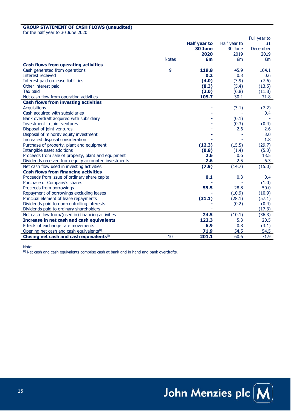#### **GROUP STATEMENT OF CASH FLOWS (unaudited)**

for the half year to 30 June 2020

|                                                      |              |                     |              | Full year to |
|------------------------------------------------------|--------------|---------------------|--------------|--------------|
|                                                      |              | <b>Half year to</b> | Half year to | 31.          |
|                                                      |              | 30 June             | 30 June      | December     |
|                                                      |              | 2020                | 2019         | 2019         |
|                                                      | <b>Notes</b> | £m                  | £m           | £m           |
| <b>Cash flows from operating activities</b>          |              |                     |              |              |
| Cash generated from operations                       | 9            | 119.8               | 45.9         | 104.1        |
| Interest received                                    |              | 0.2                 | 0.3          | 0.6          |
| Interest paid on lease liabilities                   |              | (4.0)               | (3.9)        | (7.6)        |
| Other interest paid                                  |              | (8.3)               | (5.4)        | (13.5)       |
| Tax paid                                             |              | (2.0)               | (6.8)        | (11.8)       |
| Net cash flow from operating activities              |              | 105.7               | 30.1         | 71.8         |
| <b>Cash flows from investing activities</b>          |              |                     |              |              |
| <b>Acquisitions</b>                                  |              |                     | (3.1)        | (7.2)        |
| Cash acquired with subsidiaries                      |              |                     |              | 0.4          |
| Bank overdraft acquired with subsidiary              |              |                     | (0.1)        |              |
| Investment in joint ventures                         |              |                     | (0.3)        | (0.4)        |
| Disposal of joint ventures                           |              |                     | 2.6          | 2.6          |
| Disposal of minority equity investment               |              |                     |              | 3.0          |
| Increased disposal consideration                     |              |                     |              | 1.8          |
| Purchase of property, plant and equipment            |              | (12.3)              | (15.5)       | (29.7)       |
| Intangible asset additions                           |              | (0.8)               | (1.4)        | (5.3)        |
| Proceeds from sale of property, plant and equipment  |              | 2.6                 | 0.6          | 13.5         |
| Dividends received from equity accounted investments |              | 2.6                 | 2.5          | 6.3          |
| Net cash flow used in investing activities           |              | (7.9)               | (14.7)       | (15.0)       |
| <b>Cash flows from financing activities</b>          |              |                     |              |              |
| Proceeds from issue of ordinary share capital        |              | 0.1                 | 0.3          | 0.4          |
| Purchase of Company's shares                         |              |                     |              | (1.0)        |
| Proceeds from borrowings                             |              | 55.5                | 28.8         | 50.0         |
| Repayment of borrowings excluding leases             |              |                     | (10.9)       | (10.9)       |
| Principal element of lease repayments                |              | (31.1)              | (28.1)       | (57.1)       |
| Dividends paid to non-controlling interests          |              |                     | (0.2)        | (0.4)        |
| Dividends paid to ordinary shareholders              |              |                     |              | (17.3)       |
| Net cash flow from/(used in) financing activities    |              | 24.5                | (10.1)       | (36.3)       |
| Increase in net cash and cash equivalents            |              | 122.3               | 5.3          | 20.5         |
| Effects of exchange rate movements                   |              | 6.9                 | 0.8          | (3.1)        |
| Opening net cash and cash equivalents <sup>(i)</sup> |              | 71.9                | 54.5         | 54.5         |
| Closing net cash and cash equivalents(i)             | 10           | 201.1               | 60.6         | 71.9         |

Note:

 $^{(i)}$  Net cash and cash equivalents comprise cash at bank and in hand and bank overdrafts.

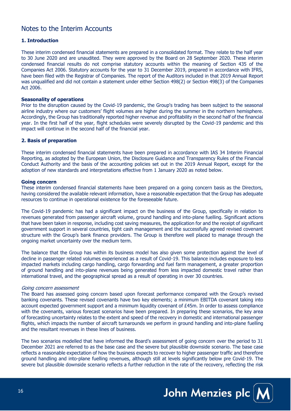## Notes to the Interim Accounts

#### **1. Introduction**

These interim condensed financial statements are prepared in a consolidated format. They relate to the half year to 30 June 2020 and are unaudited. They were approved by the Board on 28 September 2020. These interim condensed financial results do not comprise statutory accounts within the meaning of Section 435 of the Companies Act 2006. Statutory accounts for the year to 31 December 2019, prepared in accordance with IFRS, have been filed with the Registrar of Companies. The report of the Auditors included in that 2019 Annual Report was unqualified and did not contain a statement under either Section 498(2) or Section 498(3) of the Companies Act 2006.

#### **Seasonality of operations**

Prior to the disruption caused by the Covid-19 pandemic, the Group's trading has been subject to the seasonal airline industry where our customers' flight volumes are higher during the summer in the northern hemisphere. Accordingly, the Group has traditionally reported higher revenue and profitability in the second half of the financial year. In the first half of the year, flight schedules were severely disrupted by the Covid-19 pandemic and this impact will continue in the second half of the financial year.

#### **2. Basis of preparation**

These interim condensed financial statements have been prepared in accordance with IAS 34 Interim Financial Reporting, as adopted by the European Union, the Disclosure Guidance and Transparency Rules of the Financial Conduct Authority and the basis of the accounting policies set out in the 2019 Annual Report, except for the adoption of new standards and interpretations effective from 1 January 2020 as noted below.

#### **Going concern**

These interim condensed financial statements have been prepared on a going concern basis as the Directors, having considered the available relevant information, have a reasonable expectation that the Group has adequate resources to continue in operational existence for the foreseeable future.

The Covid-19 pandemic has had a significant impact on the business of the Group, specifically in relation to revenues generated from passenger aircraft volume, ground handling and into-plane fuelling. Significant actions that have been taken in response, including cost saving measures, the application for and the receipt of significant government support in several countries, tight cash management and the successfully agreed revised covenant structure with the Group's bank finance providers. The Group is therefore well placed to manage through the ongoing market uncertainty over the medium term.

The balance that the Group has within its business model has also given some protection against the level of decline in passenger related volumes experienced as a result of Covid-19. This balance includes exposure to less impacted markets including cargo handling, cargo forwarding and fuel farm management, a greater proportion of ground handling and into-plane revenues being generated from less impacted domestic travel rather than international travel, and the geographical spread as a result of operating in over 30 countries.

#### Going concern assessment

The Board has assessed going concern based upon forecast performance compared with the Group's revised banking covenants. These revised covenants have two key elements; a minimum EBITDA covenant taking into account expected government support and a minimum liquidity covenant of £45m. In order to assess compliance with the covenants, various forecast scenarios have been prepared. In preparing these scenarios, the key area of forecasting uncertainty relates to the extent and speed of the recovery in domestic and international passenger flights, which impacts the number of aircraft turnarounds we perform in ground handling and into-plane fuelling and the resultant revenues in these lines of business.

The two scenarios modelled that have informed the Board's assessment of going concern over the period to 31 December 2021 are referred to as the base case and the severe but plausible downside scenario. The base case reflects a reasonable expectation of how the business expects to recover to higher passenger traffic and therefore ground handling and into-plane fuelling revenues, although still at levels significantly below pre Covid-19. The severe but plausible downside scenario reflects a further reduction in the rate of the recovery, reflecting the risk

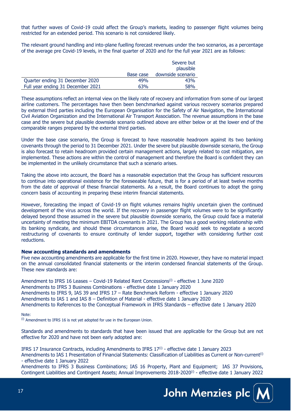that further waves of Covid-19 could affect the Group's markets, leading to passenger flight volumes being restricted for an extended period. This scenario is not considered likely.

The relevant ground handling and into-plane fuelling forecast revenues under the two scenarios, as a percentage of the average pre Covid-19 levels, in the final quarter of 2020 and for the full year 2021 are as follows:

|                                   |           | Severe but<br>plausible |
|-----------------------------------|-----------|-------------------------|
|                                   | Base case | downside scenario       |
| Quarter ending 31 December 2020   | 49%       | 43%                     |
| Full year ending 31 December 2021 | 63%       | 58%                     |

These assumptions reflect an internal view on the likely rate of recovery and information from some of our largest airline customers. The percentages have then been benchmarked against various recovery scenarios prepared by external third parties including the European Organisation for the Safety of Air Navigation, the International Civil Aviation Organization and the International Air Transport Association. The revenue assumptions in the base case and the severe but plausible downside scenario outlined above are either below or at the lower end of the comparable ranges prepared by the external third parties.

Under the base case scenario, the Group is forecast to have reasonable headroom against its two banking covenants through the period to 31 December 2021. Under the severe but plausible downside scenario, the Group is also forecast to retain headroom provided certain management actions, largely related to cost mitigation, are implemented. These actions are within the control of management and therefore the Board is confident they can be implemented in the unlikely circumstance that such a scenario arises.

Taking the above into account, the Board has a reasonable expectation that the Group has sufficient resources to continue into operational existence for the foreseeable future, that is for a period of at least twelve months from the date of approval of these financial statements. As a result, the Board continues to adopt the going concern basis of accounting in preparing these interim financial statements.

However, forecasting the impact of Covid-19 on flight volumes remains highly uncertain given the continued development of the virus across the world. If the recovery in passenger flight volumes were to be significantly delayed beyond those assumed in the severe but plausible downside scenario, the Group could face a material uncertainty of meeting the minimum EBITDA covenants in 2021. The Group has a good working relationship with its banking syndicate, and should these circumstances arise, the Board would seek to negotiate a second restructuring of covenants to ensure continuity of lender support, together with considering further cost reductions.

#### **New accounting standards and amendments**

Five new accounting amendments are applicable for the first time in 2020. However, they have no material impact on the annual consolidated financial statements or the interim condensed financial statements of the Group. These new standards are:

Amendment to IFRS 16 Leases – Covid-19 Related Rent Concessions<sup>(i)</sup> - effective 1 June 2020 Amendments to IFRS 3 Business Combinations - effective date 1 January 2020 Amendments to IFRS 9, IAS 39 and IFRS 17 – Rate Benchmark Reform - effective 1 January 2020 Amendments to IAS 1 and IAS 8 – Definition of Material - effective date 1 January 2020 Amendments to References to the Conceptual Framework in IFRS Standards – effective date 1 January 2020

#### Note:

(i) Amendment to IFRS 16 is not yet adopted for use in the European Union.

Standards and amendments to standards that have been issued that are applicable for the Group but are not effective for 2020 and have not been early adopted are:

IFRS 17 Insurance Contracts, including Amendments to IFRS  $17^{(i)}$  - effective date 1 January 2023 Amendments to IAS 1 Presentation of Financial Statements: Classification of Liabilities as Current or Non-current<sup>(i)</sup> - effective date 1 January 2022

Amendments to IFRS 3 Business Combinations; IAS 16 Property, Plant and Equipment; IAS 37 Provisions, Contingent Liabilities and Contingent Assets; Annual Improvements 2018-2020(i) - effective date 1 January 2022

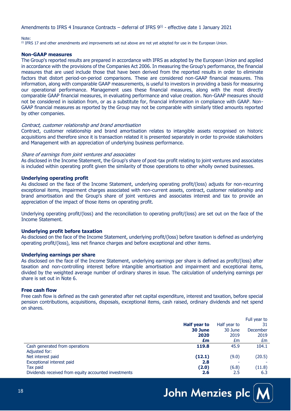#### Amendments to IFRS 4 Insurance Contracts – deferral of IFRS  $9^{(i)}$  - effective date 1 January 2021

#### Note:

<sup>(i)</sup> IFRS 17 and other amendments and improvements set out above are not yet adopted for use in the European Union.

#### **Non-GAAP measures**

The Group's reported results are prepared in accordance with IFRS as adopted by the European Union and applied in accordance with the provisions of the Companies Act 2006. In measuring the Group's performance, the financial measures that are used include those that have been derived from the reported results in order to eliminate factors that distort period-on-period comparisons. These are considered non-GAAP financial measures. This information, along with comparable GAAP measurements, is useful to investors in providing a basis for measuring our operational performance. Management uses these financial measures, along with the most directly comparable GAAP financial measures, in evaluating performance and value creation. Non-GAAP measures should not be considered in isolation from, or as a substitute for, financial information in compliance with GAAP. Non-GAAP financial measures as reported by the Group may not be comparable with similarly titled amounts reported by other companies.

#### Contract, customer relationship and brand amortisation

Contract, customer relationship and brand amortisation relates to intangible assets recognised on historic acquisitions and therefore since it is transaction related it is presented separately in order to provide stakeholders and Management with an appreciation of underlying business performance.

#### Share of earnings from joint ventures and associates

As disclosed in the Income Statement, the Group's share of post-tax profit relating to joint ventures and associates is included within operating profit given the similarity of those operations to other wholly owned businesses.

#### **Underlying operating profit**

As disclosed on the face of the Income Statement, underlying operating profit/(loss) adjusts for non-recurring exceptional items, impairment charges associated with non-current assets, contract, customer relationship and brand amortisation and the Group's share of joint ventures and associates interest and tax to provide an appreciation of the impact of those items on operating profit.

Underlying operating profit/(loss) and the reconciliation to operating profit/(loss) are set out on the face of the Income Statement.

#### **Underlying profit before taxation**

As disclosed on the face of the Income Statement, underlying profit/(loss) before taxation is defined as underlying operating profit/(loss), less net finance charges and before exceptional and other items.

#### **Underlying earnings per share**

As disclosed on the face of the Income Statement, underlying earnings per share is defined as profit/(loss) after taxation and non-controlling interest before intangible amortisation and impairment and exceptional items, divided by the weighted average number of ordinary shares in issue. The calculation of underlying earnings per share is set out in Note 6.

#### **Free cash flow**

Free cash flow is defined as the cash generated after net capital expenditure, interest and taxation, before special pension contributions, acquisitions, disposals, exceptional items, cash raised, ordinary dividends and net spend on shares.

|                                                      |                     |              | Full year to    |
|------------------------------------------------------|---------------------|--------------|-----------------|
|                                                      | <b>Half year to</b> | Half year to | 31              |
|                                                      | 30 June             | 30 June      | <b>December</b> |
|                                                      | 2020                | 2019         | 2019            |
|                                                      | £m                  | £m           | £m              |
| Cash generated from operations                       | 119.8               | 45.9         | 104.1           |
| Adjusted for:                                        |                     |              |                 |
| Net interest paid                                    | (12.1)              | (9.0)        | (20.5)          |
| Exceptional interest paid                            | 2.8                 |              |                 |
| Tax paid                                             | (2.0)               | (6.8)        | (11.8)          |
| Dividends received from equity accounted investments | 2.6                 | 2.5          | 6.3             |

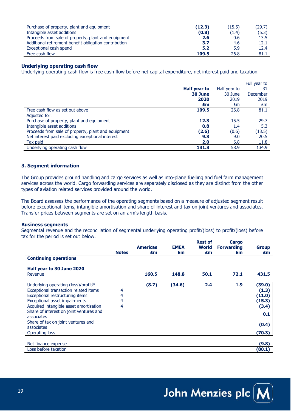| Purchase of property, plant and equipment             | (12.3) | (15.5) | (29.7) |
|-------------------------------------------------------|--------|--------|--------|
| Intangible asset additions                            | (0.8)  | (1.4)  | (5.3)  |
| Proceeds from sale of property, plant and equipment   | 2.6    | 0.6    | 13.5   |
| Additional retirement benefit obligation contribution | 3.7    | 4.6    | 12.1   |
| Exceptional cash spend                                | 5.2    | 5.9    | 12.4   |
| Free cash flow                                        | 109.5  | 26.8   | 81.1   |

#### **Underlying operating cash flow**

Underlying operating cash flow is free cash flow before net capital expenditure, net interest paid and taxation.

|                                                     |              |              | Full year to |
|-----------------------------------------------------|--------------|--------------|--------------|
|                                                     | Half year to | Half year to | 31           |
|                                                     | 30 June      | 30 June      | December     |
|                                                     | 2020         | 2019         | 2019         |
|                                                     | £m           | £m           | £m           |
| Free cash flow as set out above                     | 109.5        | 26.8         | 81.1         |
| Adjusted for:                                       |              |              |              |
| Purchase of property, plant and equipment           | 12.3         | 15.5         | 29.7         |
| Intangible asset additions                          | 0.8          | 1.4          | 5.3          |
| Proceeds from sale of property, plant and equipment | (2.6)        | (0.6)        | (13.5)       |
| Net interest paid excluding exceptional interest    | 9.3          | 9.0          | 20.5         |
| Tax paid                                            | 2.0          | 6.8          | 11.8         |
| Underlying operating cash flow                      | 131.3        | 58.9         | 134.9        |

#### **3. Segment information**

The Group provides ground handling and cargo services as well as into-plane fuelling and fuel farm management services across the world. Cargo forwarding services are separately disclosed as they are distinct from the other types of aviation related services provided around the world.

The Board assesses the performance of the operating segments based on a measure of adjusted segment result before exceptional items, intangible amortisation and share of interest and tax on joint ventures and associates. Transfer prices between segments are set on an arm's length basis.

#### **Business segments**

Segmental revenue and the reconciliation of segmental underlying operating profit/(loss) to profit/(loss) before tax for the period is set out below.

|                                                   |              | <b>Americas</b> | <b>EMEA</b> | <b>Rest of</b><br>World | Cargo<br><b>Forwarding</b> | <b>Group</b> |
|---------------------------------------------------|--------------|-----------------|-------------|-------------------------|----------------------------|--------------|
|                                                   | <b>Notes</b> | £m              | £m          | £m                      | £m                         | £m           |
| <b>Continuing operations</b>                      |              |                 |             |                         |                            |              |
| Half year to 30 June 2020                         |              |                 |             |                         |                            |              |
| Revenue                                           |              | 160.5           | 148.8       | 50.1                    | 72.1                       | 431.5        |
| Underlying operating (loss)/profit <sup>(i)</sup> |              | (8.7)           | (34.6)      | 2.4                     | 1.9                        | (39.0)       |
| Exceptional transaction related items             | 4            |                 |             |                         |                            | (1.3)        |
| Exceptional restructuring items                   | 4            |                 |             |                         |                            | (11.0)       |
| <b>Exceptional asset impairments</b>              | 4            |                 |             |                         |                            | (15.3)       |
| Acquired intangible asset amortisation            | 4            |                 |             |                         |                            | (3.4)        |
| Share of interest on joint ventures and           |              |                 |             |                         |                            | 0.1          |
| associates                                        |              |                 |             |                         |                            |              |
| Share of tax on joint ventures and                |              |                 |             |                         |                            | (0.4)        |
| associates                                        |              |                 |             |                         |                            |              |
| Operating loss                                    |              |                 |             |                         |                            | (70.3)       |
|                                                   |              |                 |             |                         |                            |              |
| Net finance expense                               |              |                 |             |                         |                            | (9.8)        |
| Loss before taxation                              |              |                 |             |                         |                            | (80.1)       |

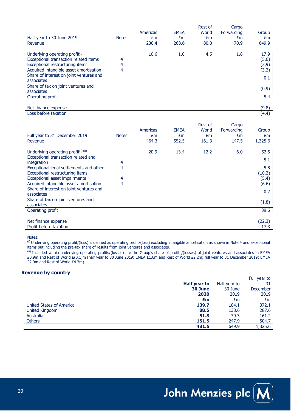|                                            |              |          |             | Rest of | Cargo      |       |
|--------------------------------------------|--------------|----------|-------------|---------|------------|-------|
|                                            |              | Americas | <b>EMEA</b> | World   | Forwarding | Group |
| Half year to 30 June 2019                  | <b>Notes</b> | £m       | £m          | £m      | £m         | £m    |
| Revenue                                    |              | 230.4    | 268.6       | 80.0    | 70.9       | 649.9 |
|                                            |              |          |             |         |            |       |
| Underlying operating profit <sup>(i)</sup> |              | 10.6     | 1.0         | 4.5     | 1.8        | 17.9  |
| Exceptional transaction related items      | 4            |          |             |         |            | (5.6) |
| Exceptional restructuring items            | 4            |          |             |         |            | (2.9) |
| Acquired intangible asset amortisation     | 4            |          |             |         |            | (3.2) |
| Share of interest on joint ventures and    |              |          |             |         |            | 0.1   |
| associates                                 |              |          |             |         |            |       |
| Share of tax on joint ventures and         |              |          |             |         |            | (0.9) |
| associates                                 |              |          |             |         |            |       |
| Operating profit                           |              |          |             |         |            | 5.4   |
|                                            |              |          |             |         |            |       |
| Net finance expense                        |              |          |             |         |            | (9.8) |
| Loss before taxation                       |              |          |             |         |            | (4.4) |

| Full year to 31 December 2019                                                             | <b>Notes</b> | Americas<br>£m | <b>EMEA</b><br>£m | Rest of<br>World<br>£m | Cargo<br>Forwarding<br>£m | Group<br>£m    |
|-------------------------------------------------------------------------------------------|--------------|----------------|-------------------|------------------------|---------------------------|----------------|
| Revenue                                                                                   |              | 464.3          | 552.5             | 161.3                  | 147.5                     | 1,325.6        |
| Underlying operating profit <sup>(i)</sup> ,(ii)<br>Exceptional transaction related and   |              | 20.9           | 13.4              | 12.2                   | 6.0                       | 52.5<br>5.1    |
| integration<br>Exceptional legal settlements and other<br>Exceptional restructuring items | 4<br>4       |                |                   |                        |                           | 5.8<br>(10.2)  |
| Exceptional asset impairments<br>Acquired intangible asset amortisation                   | 4<br>4       |                |                   |                        |                           | (5.4)<br>(6.6) |
| Share of interest on joint ventures and<br>associates                                     |              |                |                   |                        |                           | 0.2            |
| Share of tax on joint ventures and<br>associates                                          |              |                |                   |                        |                           | (1.8)          |
| Operating profit                                                                          |              |                |                   |                        |                           | 39.6           |
| Net finance expense                                                                       |              |                |                   |                        |                           | (22.3)         |
| Profit before taxation                                                                    |              |                |                   |                        |                           | 17.3           |

Notes:

(i) Underlying operating profit/(loss) is defined as operating profit/(loss) excluding intangible amortisation as shown in Note 4 and exceptional items but including the pre-tax share of results from joint ventures and associates.

(ii) Included within underlying operating profits/(losses) are the Group's share of profits/(losses) of joint ventures and associates in EMEA £0.9m and Rest of World £(0.1)m (half year to 30 June 2019: EMEA £1.6m and Rest of World £2.2m; full year to 31 December 2019: EMEA £2.9m and Rest of World £4.7m).

#### **Revenue by country**

|                          |              |              | Full year to |
|--------------------------|--------------|--------------|--------------|
|                          | Half year to | Half year to |              |
|                          | 30 June      | 30 June      | December     |
|                          | 2020         | 2019         | 2019         |
|                          | £m           | £m           | £m           |
| United States of America | 139.7        | 184.1        | 372.1        |
| <b>United Kingdom</b>    | 88.5         | 138.6        | 287.6        |
| Australia                | 51.8         | 79.3         | 161.2        |
| <b>Others</b>            | 151.5        | 247.9        | 504.7        |
|                          | 431.5        | 649.9        | 1,325.6      |

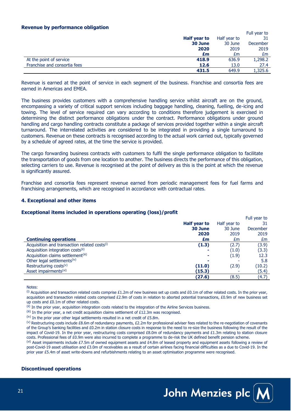#### **Revenue by performance obligation**

| .<br>-                       |              |              | Full year to    |
|------------------------------|--------------|--------------|-----------------|
|                              | Half year to | Half year to | 31              |
|                              | 30 June      | 30 June      | <b>December</b> |
|                              | 2020         | 2019         | 2019            |
|                              | £m           | £m           | £m              |
| At the point of service      | 418.9        | 636.9        | 1,298.2         |
| Franchise and consortia fees | 12.6         | 13.0         | 27.4            |
|                              | 431.5        | 649.9        | 1,325.6         |

Revenue is earned at the point of service in each segment of the business. Franchise and consortia fees are earned in Americas and EMEA.

The business provides customers with a comprehensive handling service whilst aircraft are on the ground, encompassing a variety of critical support services including baggage handling, cleaning, fuelling, de-icing and towing. The level of service required can vary according to conditions therefore judgement is exercised in determining the distinct performance obligations under the contract. Performance obligations under ground handling and cargo handling contracts constitute a package of services provided together within a single aircraft turnaround. The interrelated activities are considered to be integrated in providing a single turnaround to customers. Revenue on these contracts is recognised according to the actual work carried out, typically governed by a schedule of agreed rates, at the time the service is provided.

The cargo forwarding business contracts with customers to fulfil the single performance obligation to facilitate the transportation of goods from one location to another. The business directs the performance of this obligation, selecting carriers to use. Revenue is recognised at the point of delivery as this is the point at which the revenue is significantly assured.

Franchise and consortia fees represent revenue earned from periodic management fees for fuel farms and franchising arrangements, which are recognised in accordance with contractual rates.

#### **4. Exceptional and other items**

#### **Exceptional items included in operations operating (loss)/profit**

|                                                          |              |              | Full year to |
|----------------------------------------------------------|--------------|--------------|--------------|
|                                                          | Half year to | Half year to | 31           |
|                                                          | 30 June      | 30 June      | December     |
|                                                          | 2020         | 2019         | 2019         |
| <b>Continuing operations</b>                             | £m           | £m           | £m           |
| Acquisition and transaction related costs <sup>(i)</sup> | (1.3)        | (2.7)        | (3.9)        |
| Acquisition integration costs <sup>(ii)</sup>            |              | (1.0)        | (3.3)        |
| Acquisition claims settlement <sup>(iii)</sup>           | ٠            | (1.9)        | 12.3         |
| Other legal settlements <sup>(iv)</sup>                  |              |              | 5.8          |
| Restructuring costs <sup>(v)</sup>                       | (11.0)       | (2.9)        | (10.2)       |
| Asset impairments <sup>(vi)</sup>                        | (15.3)       |              | (5.4)        |
|                                                          | (27.6)       | (8.5)        | (4.7)        |

Notes:

 $^{(i)}$  Acquisition and transaction related costs comprise £1.2m of new business set up costs and £0.1m of other related costs. In the prior year, acquisition and transaction related costs comprised £2.9m of costs in relation to aborted potential transactions, £0.9m of new business set up costs and £0.1m of other related costs.

(ii) In the prior year, acquisition integration costs related to the integration of the Airline Services business.

 $^{\text{(iii)}}$  In the prior year, a net credit acquisition claims settlement of £12.3m was recognised.

 $^{(iv)}$  In the prior year other legal settlements resulted in a net credit of £5.8m.

(v) Restructuring costs include £8.6m of redundancy payments, £2.2m for professional adviser fees related to the re-negotiation of covenants of the Group's banking facilities and £0.2m in station closure costs in response to the need to re-size the business following the result of the impact of Covid-19. In the prior year, restructuring costs comprised  $E8.0m$  of redundancy payments and  $E1.3m$  relating to station closure costs. Professional fees of £0.9m were also incurred to complete a programme to de-risk the UK defined benefit pension scheme.

 $v^{(vi)}$  Asset impairments include £7.5m of owned equipment assets and £4.8m of leased property and equipment assets following a review of post-Covid-19 asset utilisation and £3.0m of receivables as a result of certain airlines facing financial difficulties as a due to Covid-19. In the prior year £5.4m of asset write-downs and refurbishments relating to an asset optimisation programme were recognised.

#### **Discontinued operations**

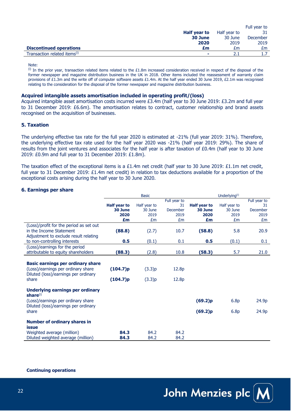|                                          |              |              | Full year to |
|------------------------------------------|--------------|--------------|--------------|
|                                          | Half year to | Half year to |              |
|                                          | 30 June      | 30 June      | December     |
|                                          | 2020         | 2019         | 2019         |
| <b>Discontinued operations</b>           | £m           | £m           | £m.          |
| Transaction related items <sup>(i)</sup> |              |              |              |

Note:

 $(i)$  In the prior year, transaction related items related to the £1.8m increased consideration received in respect of the disposal of the former newspaper and magazine distribution business in the UK in 2018. Other items included the reassessment of warranty claim provisions of £1.3m and the write off of computer software assets £1.4m. At the half year ended 30 June 2019, £2.1m was recognised relating to the consideration for the disposal of the former newspaper and magazine distribution business.

#### **Acquired intangible assets amortisation included in operating profit/(loss)**

Acquired intangible asset amortisation costs incurred were £3.4m (half year to 30 June 2019: £3.2m and full year to 31 December 2019: £6.6m). The amortisation relates to contract, customer relationship and brand assets recognised on the acquisition of businesses.

#### **5. Taxation**

The underlying effective tax rate for the full year 2020 is estimated at -21% (full year 2019: 31%). Therefore, the underlying effective tax rate used for the half year 2020 was -21% (half year 2019: 29%). The share of results from the joint ventures and associates for the half year is after taxation of £0.4m (half year to 30 June 2019: £0.9m and full year to 31 December 2019: £1.8m).

The taxation effect of the exceptional items is a £1.4m net credit (half year to 30 June 2019: £1.1m net credit, full year to 31 December 2019: £1.4m net credit) in relation to tax deductions available for a proportion of the exceptional costs arising during the half year to 30 June 2020.

#### **6. Earnings per share**

|                                          | <b>Basic</b> |              |                 | Underlying <sup>(i)</sup> |              |                 |
|------------------------------------------|--------------|--------------|-----------------|---------------------------|--------------|-----------------|
|                                          |              |              | Full year to    |                           |              | Full year to    |
|                                          | Half year to | Half year to | 31              | <b>Half year to</b>       | Half year to | 31              |
|                                          | 30 June      | 30 June      | <b>December</b> | 30 June                   | 30 June      | <b>December</b> |
|                                          | 2020         | 2019         | 2019            | 2020                      | 2019         | 2019            |
|                                          | £m           | £m           | £m              | £m                        | £m           | £m              |
| (Loss)/profit for the period as set out  |              |              |                 |                           |              |                 |
| in the Income Statement                  | (88.8)       | (2.7)        | 10.7            | (58.8)                    | 5.8          | 20.9            |
| Adjustment to exclude result relating    |              |              |                 |                           |              |                 |
| to non-controlling interests             | 0.5          | (0.1)        | 0.1             | 0.5                       | (0.1)        | 0.1             |
|                                          |              |              |                 |                           |              |                 |
| (Loss)/earnings for the period           |              |              |                 |                           |              |                 |
| attributable to equity shareholders      | (88.3)       | (2.8)        | 10.8            | (58.3)                    | 5.7          | 21.0            |
|                                          |              |              |                 |                           |              |                 |
| <b>Basic earnings per ordinary share</b> |              |              |                 |                           |              |                 |
| (Loss)/earnings per ordinary share       | (104.7)p     | (3.3)p       | 12.8p           |                           |              |                 |
| Diluted (loss)/earnings per ordinary     |              |              |                 |                           |              |                 |
| share                                    | (104.7)p     | (3.3)p       | 12.8p           |                           |              |                 |
|                                          |              |              |                 |                           |              |                 |
| <b>Underlying earnings per ordinary</b>  |              |              |                 |                           |              |                 |
| share <sup>(i)</sup>                     |              |              |                 |                           |              |                 |
| (Loss)/earnings per ordinary share       |              |              |                 | (69.2)p                   | 6.8p         | 24.9p           |
| Diluted (loss)/earnings per ordinary     |              |              |                 |                           |              |                 |
| share                                    |              |              |                 | (69.2)p                   | 6.8p         | 24.9p           |
|                                          |              |              |                 |                           |              |                 |
|                                          |              |              |                 |                           |              |                 |
| <b>Number of ordinary shares in</b>      |              |              |                 |                           |              |                 |
| <b>issue</b>                             |              |              |                 |                           |              |                 |
| Weighted average (million)               | 84.3         | 84.2         | 84.2            |                           |              |                 |
| Diluted weighted average (million)       | 84.3         | 84.2         | 84.2            |                           |              |                 |

**Continuing operations**

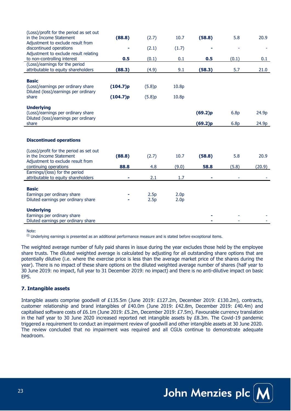| (Loss)/profit for the period as set out                 |          |        |                  |         |                  |        |
|---------------------------------------------------------|----------|--------|------------------|---------|------------------|--------|
| in the Income Statement                                 | (88.8)   | (2.7)  | 10.7             | (58.8)  | 5.8              | 20.9   |
| Adjustment to exclude result from                       |          |        |                  |         |                  |        |
| discontinued operations                                 |          | (2.1)  | (1.7)            |         |                  |        |
| Adjustment to exclude result relating                   |          |        |                  |         |                  |        |
| to non-controlling interest                             | 0.5      | (0.1)  | 0.1              | 0.5     | (0.1)            | 0.1    |
| (Loss)/earnings for the period                          |          |        |                  |         |                  |        |
| attributable to equity shareholders                     | (88.3)   | (4.9)  | 9.1              | (58.3)  | 5.7              | 21.0   |
|                                                         |          |        |                  |         |                  |        |
| <b>Basic</b>                                            |          |        |                  |         |                  |        |
| (Loss)/earnings per ordinary share                      | (104.7)p | (5.8)p | 10.8p            |         |                  |        |
| Diluted (loss)/earnings per ordinary                    |          |        |                  |         |                  |        |
| share                                                   | (104.7)p | (5.8)p | 10.8p            |         |                  |        |
|                                                         |          |        |                  |         |                  |        |
| <b>Underlying</b><br>(Loss)/earnings per ordinary share |          |        |                  | (69.2)p | 6.8 <sub>p</sub> | 24.9p  |
| Diluted (loss)/earnings per ordinary                    |          |        |                  |         |                  |        |
| share                                                   |          |        |                  | (69.2)p | 6.8p             | 24.9p  |
|                                                         |          |        |                  |         |                  |        |
|                                                         |          |        |                  |         |                  |        |
| <b>Discontinued operations</b>                          |          |        |                  |         |                  |        |
|                                                         |          |        |                  |         |                  |        |
| (Loss)/profit for the period as set out                 |          |        |                  |         |                  |        |
| in the Income Statement                                 | (88.8)   | (2.7)  | 10.7             | (58.8)  | 5.8              | 20.9   |
| Adjustment to exclude result from                       |          |        |                  |         |                  |        |
| continuing operations                                   | 88.8     | 4.8    | (9.0)            | 58.8    | (5.8)            | (20.9) |
| Earnings/(loss) for the period                          |          |        |                  |         |                  |        |
| attributable to equity shareholders                     |          | 2.1    | 1.7              |         |                  |        |
|                                                         |          |        |                  |         |                  |        |
| <b>Basic</b>                                            |          |        |                  |         |                  |        |
| Earnings per ordinary share                             |          | 2.5p   | 2.0 <sub>p</sub> |         |                  |        |
| Diluted earnings per ordinary share                     |          | 2.5p   | 2.0 <sub>p</sub> |         |                  |        |
|                                                         |          |        |                  |         |                  |        |
| <b>Underlying</b>                                       |          |        |                  |         |                  |        |
| Earnings per ordinary share                             |          |        |                  |         |                  |        |
| Diluted earnings per ordinary share                     |          |        |                  |         |                  |        |

Note:

(i) Underlying earnings is presented as an additional performance measure and is stated before exceptional items.

The weighted average number of fully paid shares in issue during the year excludes those held by the employee share trusts. The diluted weighted average is calculated by adjusting for all outstanding share options that are potentially dilutive (i.e. where the exercise price is less than the average market price of the shares during the year). There is no impact of these share options on the diluted weighted average number of shares (half year to 30 June 2019: no impact, full year to 31 December 2019: no impact) and there is no anti-dilutive impact on basic EPS.

#### **7. Intangible assets**

Intangible assets comprise goodwill of £135.5m (June 2019: £127.2m, December 2019: £130.2m), contracts, customer relationship and brand intangibles of £40.0m (June 2019: £42.8m, December 2019: £40.4m) and capitalised software costs of £6.1m (June 2019: £5.2m, December 2019: £7.5m). Favourable currency translation in the half year to 30 June 2020 increased reported net intangible assets by £8.3m. The Covid-19 pandemic triggered a requirement to conduct an impairment review of goodwill and other intangible assets at 30 June 2020. The review concluded that no impairment was required and all CGUs continue to demonstrate adequate headroom.

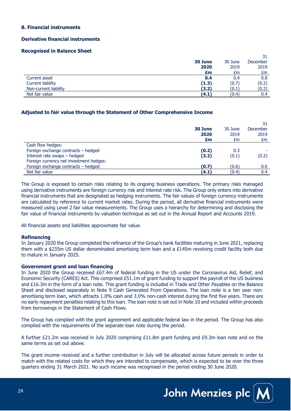#### **8. Financial instruments**

#### **Derivative financial instruments**

#### **Recognised in Balance Sheet**

|                          |         |         | 31              |
|--------------------------|---------|---------|-----------------|
|                          | 30 June | 30 June | <b>December</b> |
|                          | 2020    | 2019    | 2019            |
|                          | £m      | £m      | £m              |
| Current asset            | 0.4     | 0.4     | 0.8             |
| <b>Current liability</b> | (1.3)   | (0.7)   | (0.2)           |
| Non-current liability    | (3.2)   | (0.1)   | (0.2)           |
| Net fair value           | (4.1)   | (0.4)   | 0.4             |

#### **Adjusted to fair value through the Statement of Other Comprehensive Income**

|                                         | 30 June<br>2020<br>£m | 30 June<br>2019<br>£m | December<br>2019<br>£m |
|-----------------------------------------|-----------------------|-----------------------|------------------------|
| Cash flow hedges:                       |                       |                       |                        |
| Foreign exchange contracts - hedged     | (0.2)                 | 0.3                   |                        |
| Interest rate swaps - hedged            | (3.2)                 | (0.1)                 | (0.2)                  |
| Foreign currency net investment hedges: |                       |                       |                        |
| Foreign exchange contracts - hedged     | (0.7)                 | (0.6)                 | 0.6                    |
| Net fair value                          | (4.1)                 | (0.4)                 | 0.4                    |

The Group is exposed to certain risks relating to its ongoing business operations. The primary risks managed using derivative instruments are foreign currency risk and interest rate risk. The Group only enters into derivative financial instruments that are designated as hedging instruments. The fair values of foreign currency instruments are calculated by reference to current market rates. During the period, all derivative financial instruments were measured using Level 2 fair value measurements. The Group uses a hierarchy for determining and disclosing the fair value of financial instruments by valuation technique as set out in the Annual Report and Accounts 2019.

All financial assets and liabilities approximate fair value.

#### **Refinancing**

In January 2020 the Group completed the refinance of the Group's bank facilities maturing in June 2021, replacing them with a \$235m US dollar denominated amortising term loan and a £145m revolving credit facility both due to mature in January 2025.

#### **Government grant and loan financing**

In June 2020 the Group received £67.4m of federal funding in the US under the Coronavirus Aid, Relief, and Economic Security (CARES) Act. This comprised £51.1m of grant funding to support the payroll of the US business and £16.3m in the form of a loan note. This grant funding is included in Trade and Other Payables on the Balance Sheet and disclosed separately in Note 9 Cash Generated From Operations. The loan note is a ten year nonamortising term loan, which attracts 1.0% cash and 3.0% non-cash interest during the first five years. There are no early repayment penalties relating to this loan. The loan note is set out in Note 10 and included within proceeds from borrowings in the Statement of Cash Flows.

The Group has complied with the grant agreement and applicable federal law in the period. The Group has also complied with the requirements of the separate loan note during the period.

A further £21.2m was received in July 2020 comprising £11.8m grant funding and £9.3m loan note and on the same terms as set out above.

The grant income received and a further contribution in July will be allocated across future periods in order to match with the related costs for which they are intended to compensate, which is expected to be over the three quarters ending 31 March 2021. No such income was recognised in the period ending 30 June 2020.

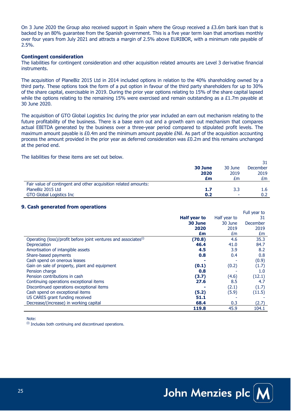On 3 June 2020 the Group also received support in Spain where the Group received a  $E3.6m$  bank loan that is backed by an 80% guarantee from the Spanish government. This is a five year term loan that amortises monthly over four years from July 2021 and attracts a margin of 2.5% above EURIBOR, with a minimum rate payable of 2.5%.

#### **Contingent consideration**

The liabilities for contingent consideration and other acquisition related amounts are Level 3 derivative financial **instruments** 

The acquisition of PlaneBiz 2015 Ltd in 2014 included options in relation to the 40% shareholding owned by a third party. These options took the form of a put option in favour of the third party shareholders for up to 30% of the share capital, exercisable in 2019. During the prior year options relating to 15% of the share capital lapsed while the options relating to the remaining 15% were exercised and remain outstanding as a £1.7m payable at 30 June 2020.

The acquisition of GTO Global Logistics Inc during the prior year included an earn out mechanism relating to the future profitability of the business. There is a base earn out and a growth earn out mechanism that compares actual EBITDA generated by the business over a three-year period compared to stipulated profit levels. The maximum amount payable is £0.4m and the minimum amount payable £Nil. As part of the acquisition accounting process the amount provided in the prior year as deferred consideration was £0.2m and this remains unchanged at the period end.

The liabilities for these items are set out below.

|                                                                 |         |         | 31               |
|-----------------------------------------------------------------|---------|---------|------------------|
|                                                                 | 30 June | 30 June | <b>December</b>  |
|                                                                 | 2020    | 2019    | 2019             |
|                                                                 | £m      | Łт      | £m               |
| Fair value of contingent and other acquisition related amounts: |         |         |                  |
| PlaneBiz 2015 Ltd                                               | 1.7     | 3.3     | 1.6 <sub>1</sub> |
| GTO Global Logistics Inc                                        | 0.2     | ۰       | 0.2              |

#### **9. Cash generated from operations**

|                                                                             |              |              | Full year to |
|-----------------------------------------------------------------------------|--------------|--------------|--------------|
|                                                                             | Half year to | Half year to | 31           |
|                                                                             | 30 June      | 30 June      | December     |
|                                                                             | 2020         | 2019         | 2019         |
|                                                                             | £m           | £m           | £m           |
| Operating (loss)/profit before joint ventures and associates <sup>(i)</sup> | (70.8)       | 4.6          | 35.3         |
| Depreciation                                                                | 46.4         | 41.0         | 84.7         |
| Amortisation of intangible assets                                           | 4.5          | 3.9          | 8.2          |
| Share-based payments                                                        | 0.8          | 0.4          | 0.8          |
| Cash spend on onerous leases                                                |              |              | (0.9)        |
| Gain on sale of property, plant and equipment                               | (0.1)        | (0.2)        | (1.7)        |
| Pension charge                                                              | 0.8          |              | 1.0          |
| Pension contributions in cash                                               | (3.7)        | (4.6)        | (12.1)       |
| Continuing operations exceptional items                                     | 27.6         | 8.5          | 4.7          |
| Discontinued operations exceptional items                                   |              | (2.1)        | (1.7)        |
| Cash spend on exceptional items                                             | (5.2)        | (5.9)        | (11.5)       |
| US CARES grant funding received                                             | 51.1         |              |              |
| Decrease/(increase) in working capital                                      | 68.4         | 0.3          | (2.7)        |
|                                                                             | 119.8        | 45.9         | 104.1        |

Note:

 $(i)$  Includes both continuing and discontinued operations.

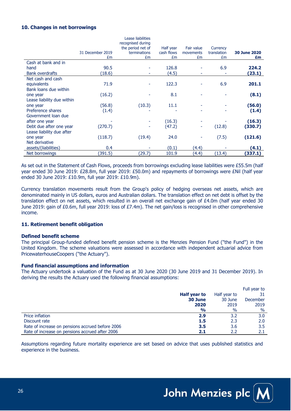#### **10. Changes in net borrowings**

|                            |                  | Lease liabilities<br>recognised during |            |            |             |                     |
|----------------------------|------------------|----------------------------------------|------------|------------|-------------|---------------------|
|                            |                  | the period net of                      | Half year  | Fair value | Currency    |                     |
|                            | 31 December 2019 | terminations                           | cash flows | movements  | translation | <b>30 June 2020</b> |
|                            | £m               | £m                                     | £m         | £m         | £m          | £m                  |
| Cash at bank and in        |                  |                                        |            |            |             |                     |
| hand                       | 90.5             |                                        | 126.8      |            | 6.9         | 224.2               |
| <b>Bank overdrafts</b>     | (18.6)           |                                        | (4.5)      |            |             | (23.1)              |
| Net cash and cash          |                  |                                        |            |            |             |                     |
| equivalents                | 71.9             |                                        | 122.3      |            | 6.9         | 201.1               |
| Bank loans due within      |                  |                                        |            |            |             |                     |
| one year                   | (16.2)           |                                        | 8.1        |            |             | (8.1)               |
| Lease liability due within |                  |                                        |            |            |             |                     |
| one year                   | (56.8)           | (10.3)                                 | 11.1       |            |             | (56.0)              |
| Preference shares          | (1.4)            |                                        |            |            |             | (1.4)               |
| Government loan due        |                  |                                        |            |            |             |                     |
| after one year             |                  |                                        | (16.3)     |            |             | (16.3)              |
| Debt due after one year    | (270.7)          |                                        | (47.2)     | ۰          | (12.8)      | (330.7)             |
| Lease liability due after  |                  |                                        |            |            |             |                     |
| one year                   | (118.7)          | (19.4)                                 | 24.0       |            | (7.5)       | (121.6)             |
| Net derivative             |                  |                                        |            |            |             |                     |
| assets/(liabilities)       | 0.4              |                                        | (0.1)      | (4.4)      |             | (4.1)               |
| Net borrowings             | (391.5)          | (29.7)                                 | 101.9      | (4.4)      | (13.4)      | (337.1)             |

As set out in the Statement of Cash Flows, proceeds from borrowings excluding lease liabilities were £55.5m (half year ended 30 June 2019: £28.8m, full year 2019: £50.0m) and repayments of borrowings were £Nil (half year ended 30 June 2019: £10.9m, full year 2019: £10.9m).

Currency translation movements result from the Group's policy of hedging overseas net assets, which are denominated mainly in US dollars, euros and Australian dollars. The translation effect on net debt is offset by the translation effect on net assets, which resulted in an overall net exchange gain of £4.0m (half year ended 30 June 2019: gain of £0.6m, full year 2019: loss of £7.4m). The net gain/loss is recognised in other comprehensive income.

#### **11. Retirement benefit obligation**

#### **Defined benefit scheme**

The principal Group-funded defined benefit pension scheme is the Menzies Pension Fund ("the Fund") in the United Kingdom. The scheme valuations were assessed in accordance with independent actuarial advice from PricewaterhouseCoopers ("the Actuary").

#### **Fund financial assumptions and information**

The Actuary undertook a valuation of the Fund as at 30 June 2020 (30 June 2019 and 31 December 2019). In deriving the results the Actuary used the following financial assumptions:

|                                                  |               |              | Full year to |
|--------------------------------------------------|---------------|--------------|--------------|
|                                                  | Half year to  | Half year to | 31           |
|                                                  | 30 June       | 30 June      | December     |
|                                                  | 2020          | 2019         | 2019         |
|                                                  | $\frac{9}{6}$ | $\%$         | $\%$         |
| Price inflation                                  | 2.9           | 3.2          | 3.0          |
| Discount rate                                    | 1.5           | 2.3          | 2.0          |
| Rate of increase on pensions accrued before 2006 | 3.5           | 3.6          | 3.5          |
| Rate of increase on pensions accrued after 2006  | 2.1           | 2.2          | 2.1          |

Assumptions regarding future mortality experience are set based on advice that uses published statistics and experience in the business.

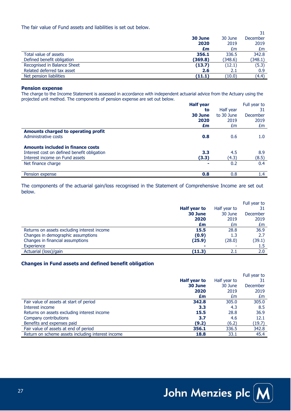The fair value of Fund assets and liabilities is set out below.

|                             |         |         | 31       |
|-----------------------------|---------|---------|----------|
|                             | 30 June | 30 June | December |
|                             | 2020    | 2019    | 2019     |
|                             | £m      | £m      | £m       |
| Total value of assets       | 356.1   | 336.5   | 342.8    |
| Defined benefit obligation  | (369.8) | (348.6) | (348.1)  |
| Recognised in Balance Sheet | (13.7)  | (12.1)  | (5.3)    |
| Related deferred tax asset  | 2.6     | 2.1     | 0.9      |
| Net pension liabilities     | (11.1)  | (10.0)  | (4.4)    |

#### **Pension expense**

The charge to the Income Statement is assessed in accordance with independent actuarial advice from the Actuary using the projected unit method. The components of pension expense are set out below.

|                                             | <b>Half year</b> |            | Full year to     |
|---------------------------------------------|------------------|------------|------------------|
|                                             | to               | Half year  | 31               |
|                                             | 30 June          | to 30 June | <b>December</b>  |
|                                             | 2020             | 2019       | 2019             |
|                                             | £m               | £m         | £m               |
| Amounts charged to operating profit         |                  |            |                  |
| Administrative costs                        | 0.8              | 0.6        | 1.0 <sub>1</sub> |
| <b>Amounts included in finance costs</b>    |                  |            |                  |
| Interest cost on defined benefit obligation | 3.3              | 4.5        | 8.9              |
| Interest income on Fund assets              | (3.3)            | (4.3)      | (8.5)            |
| Net finance charge                          |                  | 0.2        | 0.4              |
| Pension expense                             | 0.8              | 0.8        | $1.4^{\circ}$    |

The components of the actuarial gain/loss recognised in the Statement of Comprehensive Income are set out below.

|                                             |              |              | Full year to |
|---------------------------------------------|--------------|--------------|--------------|
|                                             | Half year to | Half year to | 31           |
|                                             | 30 June      | 30 June      | December     |
|                                             | 2020         | 2019         | 2019         |
|                                             | £m           | £m           | £m           |
| Returns on assets excluding interest income | 15.5         | 28.8         | 36.9         |
| Changes in demographic assumptions          | (0.9)        | 1.3          | 2.7          |
| Changes in financial assumptions            | (25.9)       | (28.0)       | (39.1)       |
| Experience                                  |              |              | $1.5\,$      |
| Actuarial (loss)/gain                       | (11.3)       | 2.1          | 2.0          |

#### **Changes in Fund assets and defined benefit obligation**

|                                                   |              |              | Full year to |
|---------------------------------------------------|--------------|--------------|--------------|
|                                                   | Half year to | Half year to | 31           |
|                                                   | 30 June      | 30 June      | December     |
|                                                   | 2020         | 2019         | 2019         |
|                                                   | £m           | £m           | £m           |
| Fair value of assets at start of period           | 342.8        | 305.0        | 305.0        |
| Interest income                                   | 3.3          | 4.3          | 8.5          |
| Returns on assets excluding interest income       | 15.5         | 28.8         | 36.9         |
| Company contributions                             | 3.7          | 4.6          | 12.1         |
| Benefits and expenses paid                        | (9.2)        | (6.2)        | (19.7)       |
| Fair value of assets at end of period             | 356.1        | 336.5        | 342.8        |
| Return on scheme assets including interest income | 18.8         | 33.1         | 45.4         |